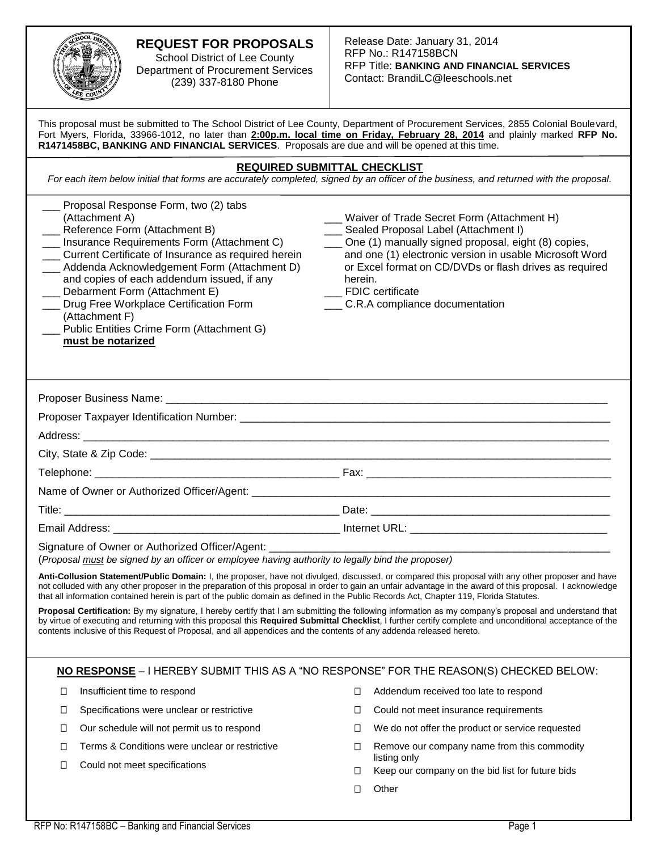# **REQUEST FOR PROPOSALS**

School District of Lee County Department of Procurement Services (239) 337-8180 Phone

#### Release Date: January 31, 2014 RFP No.: R147158BCN RFP Title: **BANKING AND FINANCIAL SERVICES** Contact: BrandiLC@leeschools.net

| This proposal must be submitted to The School District of Lee County, Department of Procurement Services, 2855 Colonial Boulevard,<br>Fort Myers, Florida, 33966-1012, no later than 2:00p.m. local time on Friday, February 28, 2014 and plainly marked RFP No.<br>R1471458BC, BANKING AND FINANCIAL SERVICES. Proposals are due and will be opened at this time.                                                                                             |                                                                                                                                                                                                                                                                                                                                                        |  |  |  |
|----------------------------------------------------------------------------------------------------------------------------------------------------------------------------------------------------------------------------------------------------------------------------------------------------------------------------------------------------------------------------------------------------------------------------------------------------------------|--------------------------------------------------------------------------------------------------------------------------------------------------------------------------------------------------------------------------------------------------------------------------------------------------------------------------------------------------------|--|--|--|
| <b>REQUIRED SUBMITTAL CHECKLIST</b><br>For each item below initial that forms are accurately completed, signed by an officer of the business, and returned with the proposal.                                                                                                                                                                                                                                                                                  |                                                                                                                                                                                                                                                                                                                                                        |  |  |  |
| Proposal Response Form, two (2) tabs<br>(Attachment A)<br>Reference Form (Attachment B)<br>__ Insurance Requirements Form (Attachment C)<br>__ Current Certificate of Insurance as required herein<br>Addenda Acknowledgement Form (Attachment D)<br>and copies of each addendum issued, if any<br>Debarment Form (Attachment E)<br>Drug Free Workplace Certification Form<br>(Attachment F)<br>Public Entities Crime Form (Attachment G)<br>must be notarized | ___ Waiver of Trade Secret Form (Attachment H)<br>___ Sealed Proposal Label (Attachment I)<br>__ One (1) manually signed proposal, eight (8) copies,<br>and one (1) electronic version in usable Microsoft Word<br>or Excel format on CD/DVDs or flash drives as required<br>herein.<br><b>FDIC certificate</b><br>____ C.R.A compliance documentation |  |  |  |
|                                                                                                                                                                                                                                                                                                                                                                                                                                                                |                                                                                                                                                                                                                                                                                                                                                        |  |  |  |
|                                                                                                                                                                                                                                                                                                                                                                                                                                                                |                                                                                                                                                                                                                                                                                                                                                        |  |  |  |
|                                                                                                                                                                                                                                                                                                                                                                                                                                                                |                                                                                                                                                                                                                                                                                                                                                        |  |  |  |
|                                                                                                                                                                                                                                                                                                                                                                                                                                                                |                                                                                                                                                                                                                                                                                                                                                        |  |  |  |
|                                                                                                                                                                                                                                                                                                                                                                                                                                                                |                                                                                                                                                                                                                                                                                                                                                        |  |  |  |
|                                                                                                                                                                                                                                                                                                                                                                                                                                                                |                                                                                                                                                                                                                                                                                                                                                        |  |  |  |
| Signature of Owner or Authorized Officer/Agent:<br>(Proposal must be signed by an officer or employee having authority to legally bind the proposer)                                                                                                                                                                                                                                                                                                           | <u> 1980 - Jan Barat, margaret amerikan basar dan berasal dari berasal dalam basar dalam basar dalam basar dalam </u>                                                                                                                                                                                                                                  |  |  |  |
| Anti-Collusion Statement/Public Domain: I, the proposer, have not divulged, discussed, or compared this proposal with any other proposer and have<br>not colluded with any other proposer in the preparation of this proposal in order to gain an unfair advantage in the award of this proposal. I acknowledge<br>that all information contained herein is part of the public domain as defined in the Public Records Act, Chapter 119, Florida Statutes.     |                                                                                                                                                                                                                                                                                                                                                        |  |  |  |
| Proposal Certification: By my signature, I hereby certify that I am submitting the following information as my company's proposal and understand that<br>by virtue of executing and returning with this proposal this Required Submittal Checklist, I further certify complete and unconditional acceptance of the<br>contents inclusive of this Request of Proposal, and all appendices and the contents of any addenda released hereto.                      |                                                                                                                                                                                                                                                                                                                                                        |  |  |  |
| NO RESPONSE - I HEREBY SUBMIT THIS AS A "NO RESPONSE" FOR THE REASON(S) CHECKED BELOW:                                                                                                                                                                                                                                                                                                                                                                         |                                                                                                                                                                                                                                                                                                                                                        |  |  |  |
| Insufficient time to respond<br>ப                                                                                                                                                                                                                                                                                                                                                                                                                              | Addendum received too late to respond<br>□                                                                                                                                                                                                                                                                                                             |  |  |  |
| Specifications were unclear or restrictive<br>$\Box$                                                                                                                                                                                                                                                                                                                                                                                                           | Could not meet insurance requirements<br>□                                                                                                                                                                                                                                                                                                             |  |  |  |
| Our schedule will not permit us to respond<br>□                                                                                                                                                                                                                                                                                                                                                                                                                | We do not offer the product or service requested<br>□                                                                                                                                                                                                                                                                                                  |  |  |  |
| Terms & Conditions were unclear or restrictive<br>□                                                                                                                                                                                                                                                                                                                                                                                                            | Remove our company name from this commodity<br>⊔                                                                                                                                                                                                                                                                                                       |  |  |  |
| □<br>Could not meet specifications                                                                                                                                                                                                                                                                                                                                                                                                                             | listing only<br>Keep our company on the bid list for future bids<br>Ш                                                                                                                                                                                                                                                                                  |  |  |  |
|                                                                                                                                                                                                                                                                                                                                                                                                                                                                | Other<br>ο                                                                                                                                                                                                                                                                                                                                             |  |  |  |
|                                                                                                                                                                                                                                                                                                                                                                                                                                                                |                                                                                                                                                                                                                                                                                                                                                        |  |  |  |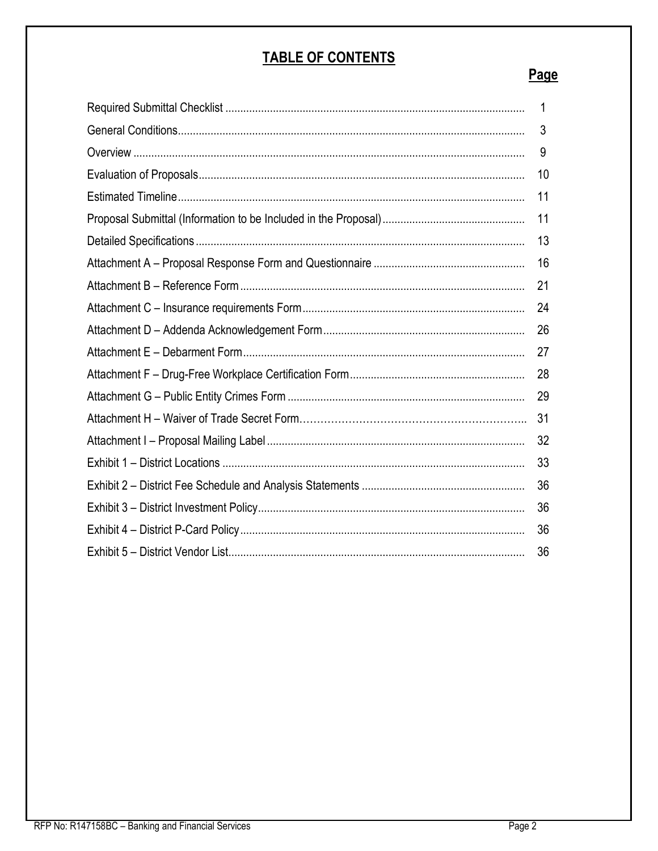# **TABLE OF CONTENTS**

# Page

| 1  |
|----|
| 3  |
| 9  |
| 10 |
| 11 |
| 11 |
| 13 |
| 16 |
| 21 |
| 24 |
| 26 |
| 27 |
| 28 |
| 29 |
| 31 |
| 32 |
| 33 |
| 36 |
| 36 |
| 36 |
| 36 |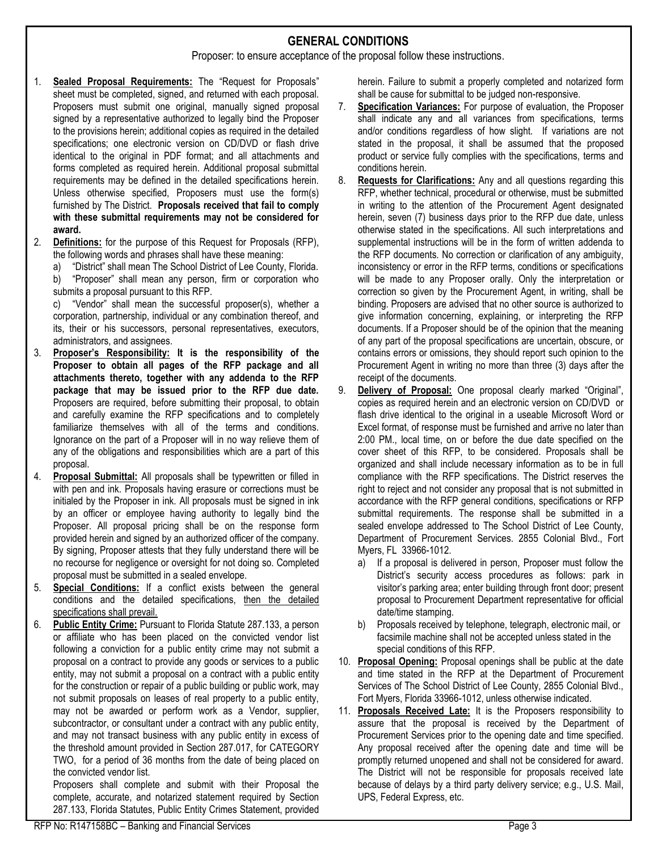### **GENERAL CONDITIONS**

Proposer: to ensure acceptance of the proposal follow these instructions.

- 1. **Sealed Proposal Requirements:** The "Request for Proposals" sheet must be completed, signed, and returned with each proposal. Proposers must submit one original, manually signed proposal signed by a representative authorized to legally bind the Proposer to the provisions herein; additional copies as required in the detailed specifications; one electronic version on CD/DVD or flash drive identical to the original in PDF format; and all attachments and forms completed as required herein. Additional proposal submittal requirements may be defined in the detailed specifications herein. Unless otherwise specified, Proposers must use the form(s) furnished by The District. **Proposals received that fail to comply with these submittal requirements may not be considered for award.**
- 2. **Definitions:** for the purpose of this Request for Proposals (RFP), the following words and phrases shall have these meaning:
	- a) "District" shall mean The School District of Lee County, Florida.

b) "Proposer" shall mean any person, firm or corporation who submits a proposal pursuant to this RFP.

c) "Vendor" shall mean the successful proposer(s), whether a corporation, partnership, individual or any combination thereof, and its, their or his successors, personal representatives, executors, administrators, and assignees.

- 3. **Proposer's Responsibility: It is the responsibility of the Proposer to obtain all pages of the RFP package and all attachments thereto, together with any addenda to the RFP package that may be issued prior to the RFP due date.** Proposers are required, before submitting their proposal, to obtain and carefully examine the RFP specifications and to completely familiarize themselves with all of the terms and conditions. Ignorance on the part of a Proposer will in no way relieve them of any of the obligations and responsibilities which are a part of this proposal.
- 4. **Proposal Submittal:** All proposals shall be typewritten or filled in with pen and ink. Proposals having erasure or corrections must be initialed by the Proposer in ink. All proposals must be signed in ink by an officer or employee having authority to legally bind the Proposer. All proposal pricing shall be on the response form provided herein and signed by an authorized officer of the company. By signing, Proposer attests that they fully understand there will be no recourse for negligence or oversight for not doing so. Completed proposal must be submitted in a sealed envelope.
- 5. **Special Conditions:** If a conflict exists between the general conditions and the detailed specifications, then the detailed specifications shall prevail.
- 6. **Public Entity Crime:** Pursuant to Florida Statute 287.133, a person or affiliate who has been placed on the convicted vendor list following a conviction for a public entity crime may not submit a proposal on a contract to provide any goods or services to a public entity, may not submit a proposal on a contract with a public entity for the construction or repair of a public building or public work, may not submit proposals on leases of real property to a public entity, may not be awarded or perform work as a Vendor, supplier, subcontractor, or consultant under a contract with any public entity, and may not transact business with any public entity in excess of the threshold amount provided in Section 287.017, for CATEGORY TWO, for a period of 36 months from the date of being placed on the convicted vendor list.

Proposers shall complete and submit with their Proposal the complete, accurate, and notarized statement required by Section 287.133, Florida Statutes, Public Entity Crimes Statement, provided

herein. Failure to submit a properly completed and notarized form shall be cause for submittal to be judged non-responsive.

- 7. **Specification Variances:** For purpose of evaluation, the Proposer shall indicate any and all variances from specifications, terms and/or conditions regardless of how slight. If variations are not stated in the proposal, it shall be assumed that the proposed product or service fully complies with the specifications, terms and conditions herein.
- 8. **Requests for Clarifications:** Any and all questions regarding this RFP, whether technical, procedural or otherwise, must be submitted in writing to the attention of the Procurement Agent designated herein, seven (7) business days prior to the RFP due date, unless otherwise stated in the specifications. All such interpretations and supplemental instructions will be in the form of written addenda to the RFP documents. No correction or clarification of any ambiguity, inconsistency or error in the RFP terms, conditions or specifications will be made to any Proposer orally. Only the interpretation or correction so given by the Procurement Agent, in writing, shall be binding. Proposers are advised that no other source is authorized to give information concerning, explaining, or interpreting the RFP documents. If a Proposer should be of the opinion that the meaning of any part of the proposal specifications are uncertain, obscure, or contains errors or omissions, they should report such opinion to the Procurement Agent in writing no more than three (3) days after the receipt of the documents.
- 9. **Delivery of Proposal:** One proposal clearly marked "Original", copies as required herein and an electronic version on CD/DVD or flash drive identical to the original in a useable Microsoft Word or Excel format, of response must be furnished and arrive no later than 2:00 PM., local time, on or before the due date specified on the cover sheet of this RFP, to be considered. Proposals shall be organized and shall include necessary information as to be in full compliance with the RFP specifications. The District reserves the right to reject and not consider any proposal that is not submitted in accordance with the RFP general conditions, specifications or RFP submittal requirements. The response shall be submitted in a sealed envelope addressed to The School District of Lee County, Department of Procurement Services. 2855 Colonial Blvd., Fort Myers, FL 33966-1012.
	- a) If a proposal is delivered in person, Proposer must follow the District's security access procedures as follows: park in visitor's parking area; enter building through front door; present proposal to Procurement Department representative for official date/time stamping.
	- b) Proposals received by telephone, telegraph, electronic mail, or facsimile machine shall not be accepted unless stated in the special conditions of this RFP.
- 10. **Proposal Opening:** Proposal openings shall be public at the date and time stated in the RFP at the Department of Procurement Services of The School District of Lee County, 2855 Colonial Blvd., Fort Myers, Florida 33966-1012, unless otherwise indicated.
- 11. **Proposals Received Late:** It is the Proposers responsibility to assure that the proposal is received by the Department of Procurement Services prior to the opening date and time specified. Any proposal received after the opening date and time will be promptly returned unopened and shall not be considered for award. The District will not be responsible for proposals received late because of delays by a third party delivery service; e.g., U.S. Mail, UPS, Federal Express, etc.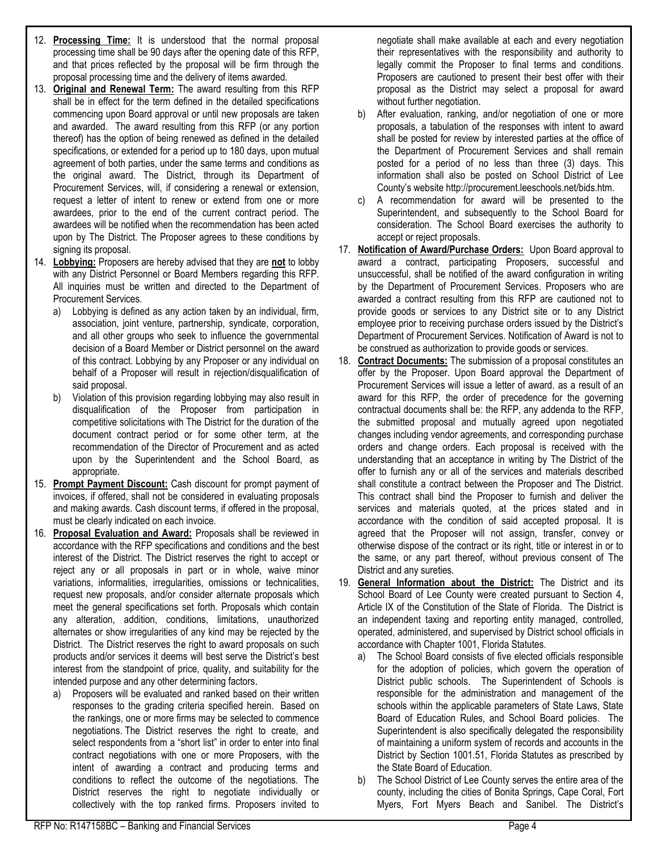- 12. **Processing Time:** It is understood that the normal proposal processing time shall be 90 days after the opening date of this RFP, and that prices reflected by the proposal will be firm through the proposal processing time and the delivery of items awarded.
- 13. **Original and Renewal Term:** The award resulting from this RFP shall be in effect for the term defined in the detailed specifications commencing upon Board approval or until new proposals are taken and awarded. The award resulting from this RFP (or any portion thereof) has the option of being renewed as defined in the detailed specifications, or extended for a period up to 180 days, upon mutual agreement of both parties, under the same terms and conditions as the original award. The District, through its Department of Procurement Services, will, if considering a renewal or extension, request a letter of intent to renew or extend from one or more awardees, prior to the end of the current contract period. The awardees will be notified when the recommendation has been acted upon by The District. The Proposer agrees to these conditions by signing its proposal.
- 14. **Lobbying:** Proposers are hereby advised that they are **not** to lobby with any District Personnel or Board Members regarding this RFP. All inquiries must be written and directed to the Department of Procurement Services.
	- a) Lobbying is defined as any action taken by an individual, firm, association, joint venture, partnership, syndicate, corporation, and all other groups who seek to influence the governmental decision of a Board Member or District personnel on the award of this contract. Lobbying by any Proposer or any individual on behalf of a Proposer will result in rejection/disqualification of said proposal.
	- b) Violation of this provision regarding lobbying may also result in disqualification of the Proposer from participation in competitive solicitations with The District for the duration of the document contract period or for some other term, at the recommendation of the Director of Procurement and as acted upon by the Superintendent and the School Board, as appropriate.
- 15. **Prompt Payment Discount:** Cash discount for prompt payment of invoices, if offered, shall not be considered in evaluating proposals and making awards. Cash discount terms, if offered in the proposal, must be clearly indicated on each invoice.
- 16. **Proposal Evaluation and Award:** Proposals shall be reviewed in accordance with the RFP specifications and conditions and the best interest of the District. The District reserves the right to accept or reject any or all proposals in part or in whole, waive minor variations, informalities, irregularities, omissions or technicalities, request new proposals, and/or consider alternate proposals which meet the general specifications set forth. Proposals which contain any alteration, addition, conditions, limitations, unauthorized alternates or show irregularities of any kind may be rejected by the District. The District reserves the right to award proposals on such products and/or services it deems will best serve the District's best interest from the standpoint of price, quality, and suitability for the intended purpose and any other determining factors.
	- a) Proposers will be evaluated and ranked based on their written responses to the grading criteria specified herein. Based on the rankings, one or more firms may be selected to commence negotiations. The District reserves the right to create, and select respondents from a "short list" in order to enter into final contract negotiations with one or more Proposers, with the intent of awarding a contract and producing terms and conditions to reflect the outcome of the negotiations. The District reserves the right to negotiate individually or collectively with the top ranked firms. Proposers invited to

negotiate shall make available at each and every negotiation their representatives with the responsibility and authority to legally commit the Proposer to final terms and conditions. Proposers are cautioned to present their best offer with their proposal as the District may select a proposal for award without further negotiation.

- b) After evaluation, ranking, and/or negotiation of one or more proposals, a tabulation of the responses with intent to award shall be posted for review by interested parties at the office of the Department of Procurement Services and shall remain posted for a period of no less than three (3) days. This information shall also be posted on School District of Lee County's website [http://procurement.leeschools.net/bids.htm.](https://www.leeschools.net/procurement)
- c) A recommendation for award will be presented to the Superintendent, and subsequently to the School Board for consideration. The School Board exercises the authority to accept or reject proposals.
- 17. **Notification of Award/Purchase Orders:** Upon Board approval to award a contract, participating Proposers, successful and unsuccessful, shall be notified of the award configuration in writing by the Department of Procurement Services. Proposers who are awarded a contract resulting from this RFP are cautioned not to provide goods or services to any District site or to any District employee prior to receiving purchase orders issued by the District's Department of Procurement Services. Notification of Award is not to be construed as authorization to provide goods or services.
- 18. **Contract Documents:** The submission of a proposal constitutes an offer by the Proposer. Upon Board approval the Department of Procurement Services will issue a letter of award. as a result of an award for this RFP, the order of precedence for the governing contractual documents shall be: the RFP, any addenda to the RFP, the submitted proposal and mutually agreed upon negotiated changes including vendor agreements, and corresponding purchase orders and change orders. Each proposal is received with the understanding that an acceptance in writing by The District of the offer to furnish any or all of the services and materials described shall constitute a contract between the Proposer and The District. This contract shall bind the Proposer to furnish and deliver the services and materials quoted, at the prices stated and in accordance with the condition of said accepted proposal. It is agreed that the Proposer will not assign, transfer, convey or otherwise dispose of the contract or its right, title or interest in or to the same, or any part thereof, without previous consent of The District and any sureties.
- 19. **General Information about the District:** The District and its School Board of Lee County were created pursuant to Section 4, Article IX of the Constitution of the State of Florida. The District is an independent taxing and reporting entity managed, controlled, operated, administered, and supervised by District school officials in accordance with Chapter 1001, Florida Statutes.
	- a) The School Board consists of five elected officials responsible for the adoption of policies, which govern the operation of District public schools. The Superintendent of Schools is responsible for the administration and management of the schools within the applicable parameters of State Laws, State Board of Education Rules, and School Board policies. The Superintendent is also specifically delegated the responsibility of maintaining a uniform system of records and accounts in the District by Section 1001.51, Florida Statutes as prescribed by the State Board of Education.
	- The School District of Lee County serves the entire area of the county, including the cities of Bonita Springs, Cape Coral, Fort Myers, Fort Myers Beach and Sanibel. The District's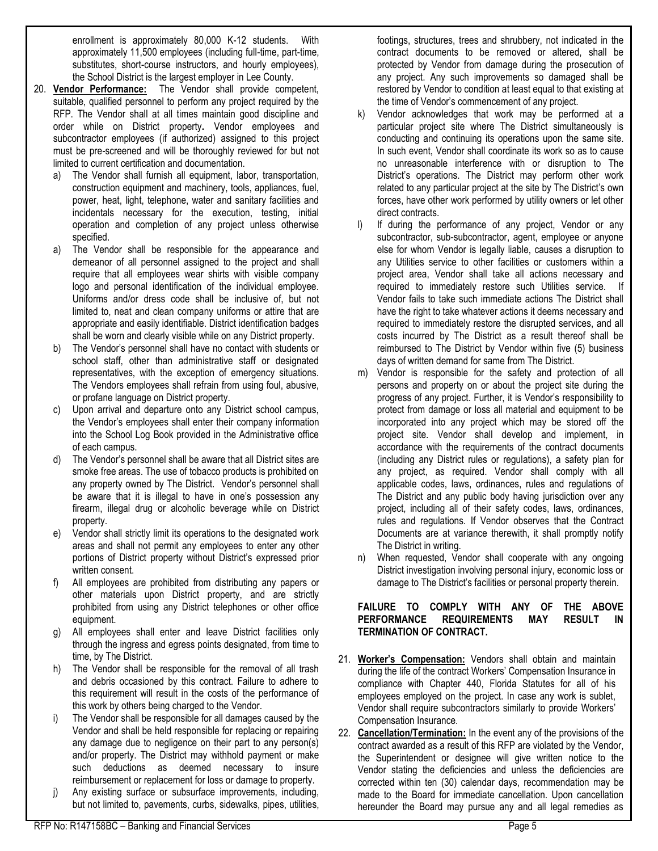enrollment is approximately 80,000 K-12 students. With approximately 11,500 employees (including full-time, part-time, substitutes, short-course instructors, and hourly employees), the School District is the largest employer in Lee County.

- 20. **Vendor Performance:** The Vendor shall provide competent, suitable, qualified personnel to perform any project required by the RFP. The Vendor shall at all times maintain good discipline and order while on District property**.** Vendor employees and subcontractor employees (if authorized) assigned to this project must be pre-screened and will be thoroughly reviewed for but not limited to current certification and documentation.
	- a) The Vendor shall furnish all equipment, labor, transportation, construction equipment and machinery, tools, appliances, fuel, power, heat, light, telephone, water and sanitary facilities and incidentals necessary for the execution, testing, initial operation and completion of any project unless otherwise specified.
	- a) The Vendor shall be responsible for the appearance and demeanor of all personnel assigned to the project and shall require that all employees wear shirts with visible company logo and personal identification of the individual employee. Uniforms and/or dress code shall be inclusive of, but not limited to, neat and clean company uniforms or attire that are appropriate and easily identifiable. District identification badges shall be worn and clearly visible while on any District property.
	- b) The Vendor's personnel shall have no contact with students or school staff, other than administrative staff or designated representatives, with the exception of emergency situations. The Vendors employees shall refrain from using foul, abusive, or profane language on District property.
	- c) Upon arrival and departure onto any District school campus, the Vendor's employees shall enter their company information into the School Log Book provided in the Administrative office of each campus.
	- d) The Vendor's personnel shall be aware that all District sites are smoke free areas. The use of tobacco products is prohibited on any property owned by The District. Vendor's personnel shall be aware that it is illegal to have in one's possession any firearm, illegal drug or alcoholic beverage while on District property.
	- e) Vendor shall strictly limit its operations to the designated work areas and shall not permit any employees to enter any other portions of District property without District's expressed prior written consent.
	- f) All employees are prohibited from distributing any papers or other materials upon District property, and are strictly prohibited from using any District telephones or other office equipment.
	- g) All employees shall enter and leave District facilities only through the ingress and egress points designated, from time to time, by The District.
	- h) The Vendor shall be responsible for the removal of all trash and debris occasioned by this contract. Failure to adhere to this requirement will result in the costs of the performance of this work by others being charged to the Vendor.
	- i) The Vendor shall be responsible for all damages caused by the Vendor and shall be held responsible for replacing or repairing any damage due to negligence on their part to any person(s) and/or property. The District may withhold payment or make such deductions as deemed necessary to insure reimbursement or replacement for loss or damage to property.
	- j) Any existing surface or subsurface improvements, including, but not limited to, pavements, curbs, sidewalks, pipes, utilities,

footings, structures, trees and shrubbery, not indicated in the contract documents to be removed or altered, shall be protected by Vendor from damage during the prosecution of any project. Any such improvements so damaged shall be restored by Vendor to condition at least equal to that existing at the time of Vendor's commencement of any project.

- k) Vendor acknowledges that work may be performed at a particular project site where The District simultaneously is conducting and continuing its operations upon the same site. In such event, Vendor shall coordinate its work so as to cause no unreasonable interference with or disruption to The District's operations. The District may perform other work related to any particular project at the site by The District's own forces, have other work performed by utility owners or let other direct contracts.
- l) If during the performance of any project, Vendor or any subcontractor, sub-subcontractor, agent, employee or anyone else for whom Vendor is legally liable, causes a disruption to any Utilities service to other facilities or customers within a project area, Vendor shall take all actions necessary and required to immediately restore such Utilities service. If Vendor fails to take such immediate actions The District shall have the right to take whatever actions it deems necessary and required to immediately restore the disrupted services, and all costs incurred by The District as a result thereof shall be reimbursed to The District by Vendor within five (5) business days of written demand for same from The District.
- m) Vendor is responsible for the safety and protection of all persons and property on or about the project site during the progress of any project. Further, it is Vendor's responsibility to protect from damage or loss all material and equipment to be incorporated into any project which may be stored off the project site. Vendor shall develop and implement, in accordance with the requirements of the contract documents (including any District rules or regulations), a safety plan for any project, as required. Vendor shall comply with all applicable codes, laws, ordinances, rules and regulations of The District and any public body having jurisdiction over any project, including all of their safety codes, laws, ordinances, rules and regulations. If Vendor observes that the Contract Documents are at variance therewith, it shall promptly notify The District in writing.
- n) When requested, Vendor shall cooperate with any ongoing District investigation involving personal injury, economic loss or damage to The District's facilities or personal property therein.

#### **FAILURE TO COMPLY WITH ANY OF THE ABOVE PERFORMANCE REQUIREMENTS MAY RESULT IN TERMINATION OF CONTRACT.**

- 21. **Worker's Compensation:** Vendors shall obtain and maintain during the life of the contract Workers' Compensation Insurance in compliance with Chapter 440, Florida Statutes for all of his employees employed on the project. In case any work is sublet, Vendor shall require subcontractors similarly to provide Workers' Compensation Insurance.
- 22. **Cancellation/Termination:** In the event any of the provisions of the contract awarded as a result of this RFP are violated by the Vendor, the Superintendent or designee will give written notice to the Vendor stating the deficiencies and unless the deficiencies are corrected within ten (30) calendar days, recommendation may be made to the Board for immediate cancellation. Upon cancellation hereunder the Board may pursue any and all legal remedies as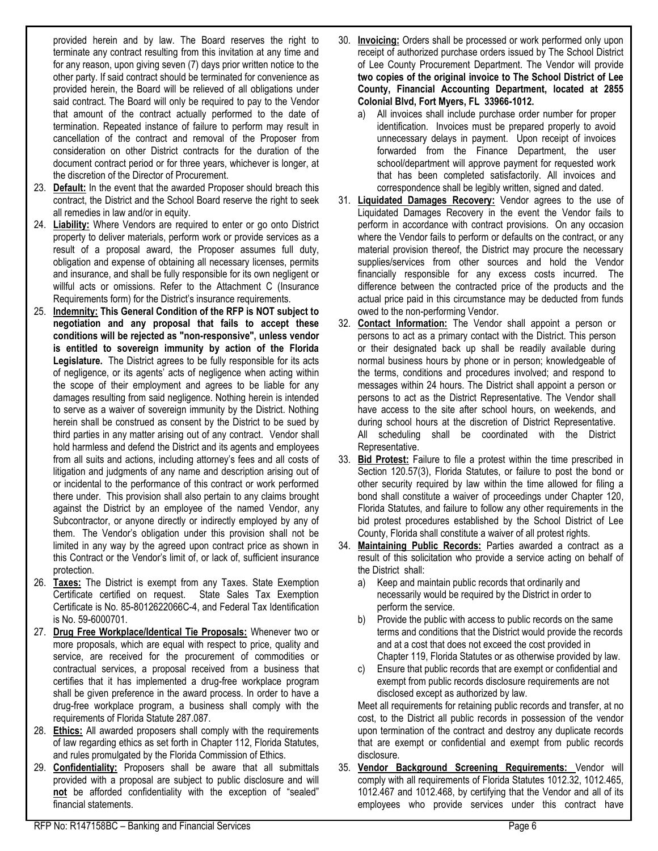provided herein and by law. The Board reserves the right to terminate any contract resulting from this invitation at any time and for any reason, upon giving seven (7) days prior written notice to the other party. If said contract should be terminated for convenience as provided herein, the Board will be relieved of all obligations under said contract. The Board will only be required to pay to the Vendor that amount of the contract actually performed to the date of termination. Repeated instance of failure to perform may result in cancellation of the contract and removal of the Proposer from consideration on other District contracts for the duration of the document contract period or for three years, whichever is longer, at the discretion of the Director of Procurement.

- 23. **Default:** In the event that the awarded Proposer should breach this contract, the District and the School Board reserve the right to seek all remedies in law and/or in equity.
- 24. **Liability:** Where Vendors are required to enter or go onto District property to deliver materials, perform work or provide services as a result of a proposal award, the Proposer assumes full duty, obligation and expense of obtaining all necessary licenses, permits and insurance, and shall be fully responsible for its own negligent or willful acts or omissions. Refer to the Attachment C (Insurance Requirements form) for the District's insurance requirements.
- 25. **Indemnity: This General Condition of the RFP is NOT subject to negotiation and any proposal that fails to accept these conditions will be rejected as "non-responsive", unless vendor is entitled to sovereign immunity by action of the Florida Legislature.** The District agrees to be fully responsible for its acts of negligence, or its agents' acts of negligence when acting within the scope of their employment and agrees to be liable for any damages resulting from said negligence. Nothing herein is intended to serve as a waiver of sovereign immunity by the District. Nothing herein shall be construed as consent by the District to be sued by third parties in any matter arising out of any contract. Vendor shall hold harmless and defend the District and its agents and employees from all suits and actions, including attorney's fees and all costs of litigation and judgments of any name and description arising out of or incidental to the performance of this contract or work performed there under. This provision shall also pertain to any claims brought against the District by an employee of the named Vendor, any Subcontractor, or anyone directly or indirectly employed by any of them. The Vendor's obligation under this provision shall not be limited in any way by the agreed upon contract price as shown in this Contract or the Vendor's limit of, or lack of, sufficient insurance protection.
- 26. **Taxes:** The District is exempt from any Taxes. State Exemption Certificate certified on request. State Sales Tax Exemption Certificate is No. 85-8012622066C-4, and Federal Tax Identification is No. 59-6000701.
- 27. **Drug Free Workplace/Identical Tie Proposals:** Whenever two or more proposals, which are equal with respect to price, quality and service, are received for the procurement of commodities or contractual services, a proposal received from a business that certifies that it has implemented a drug-free workplace program shall be given preference in the award process. In order to have a drug-free workplace program, a business shall comply with the requirements of Florida Statute 287.087.
- 28. **Ethics:** All awarded proposers shall comply with the requirements of law regarding ethics as set forth in Chapter 112, Florida Statutes, and rules promulgated by the Florida Commission of Ethics.
- 29. **Confidentiality:** Proposers shall be aware that all submittals provided with a proposal are subject to public disclosure and will **not** be afforded confidentiality with the exception of "sealed" financial statements.
- 30. **Invoicing:** Orders shall be processed or work performed only upon receipt of authorized purchase orders issued by The School District of Lee County Procurement Department. The Vendor will provide **two copies of the original invoice to The School District of Lee County, Financial Accounting Department, located at 2855 Colonial Blvd, Fort Myers, FL 33966-1012.**
	- a) All invoices shall include purchase order number for proper identification. Invoices must be prepared properly to avoid unnecessary delays in payment. Upon receipt of invoices forwarded from the Finance Department, the user school/department will approve payment for requested work that has been completed satisfactorily. All invoices and correspondence shall be legibly written, signed and dated.
- 31. **Liquidated Damages Recovery:** Vendor agrees to the use of Liquidated Damages Recovery in the event the Vendor fails to perform in accordance with contract provisions. On any occasion where the Vendor fails to perform or defaults on the contract, or any material provision thereof, the District may procure the necessary supplies/services from other sources and hold the Vendor financially responsible for any excess costs incurred. The difference between the contracted price of the products and the actual price paid in this circumstance may be deducted from funds owed to the non-performing Vendor.
- 32. **Contact Information:** The Vendor shall appoint a person or persons to act as a primary contact with the District. This person or their designated back up shall be readily available during normal business hours by phone or in person; knowledgeable of the terms, conditions and procedures involved; and respond to messages within 24 hours. The District shall appoint a person or persons to act as the District Representative. The Vendor shall have access to the site after school hours, on weekends, and during school hours at the discretion of District Representative. All scheduling shall be coordinated with the District Representative.
- 33. **Bid Protest:** Failure to file a protest within the time prescribed in Section [120.57\(](http://www.flsenate.gov/Laws/Statutes/2010/120.57)3), Florida Statutes, or failure to post the bond or other security required by law within the time allowed for filing a bond shall constitute a waiver of proceedings under Chapter 120, Florida Statutes, and failure to follow any other requirements in the bid protest procedures established by the School District of Lee County, Florida shall constitute a waiver of all protest rights.
- 34. **Maintaining Public Records:** Parties awarded a contract as a result of this solicitation who provide a service acting on behalf of the District shall:
	- a) Keep and maintain public records that ordinarily and necessarily would be required by the District in order to perform the service.
	- b) Provide the public with access to public records on the same terms and conditions that the District would provide the records and at a cost that does not exceed the cost provided in Chapter 119, Florida Statutes or as otherwise provided by law.
	- c) Ensure that public records that are exempt or confidential and exempt from public records disclosure requirements are not disclosed except as authorized by law.

Meet all requirements for retaining public records and transfer, at no cost, to the District all public records in possession of the vendor upon termination of the contract and destroy any duplicate records that are exempt or confidential and exempt from public records disclosure.

35. **Vendor Background Screening Requirements:** Vendor will comply with all requirements of Florida Statutes 1012.32, 1012.465, 1012.467 and 1012.468, by certifying that the Vendor and all of its employees who provide services under this contract have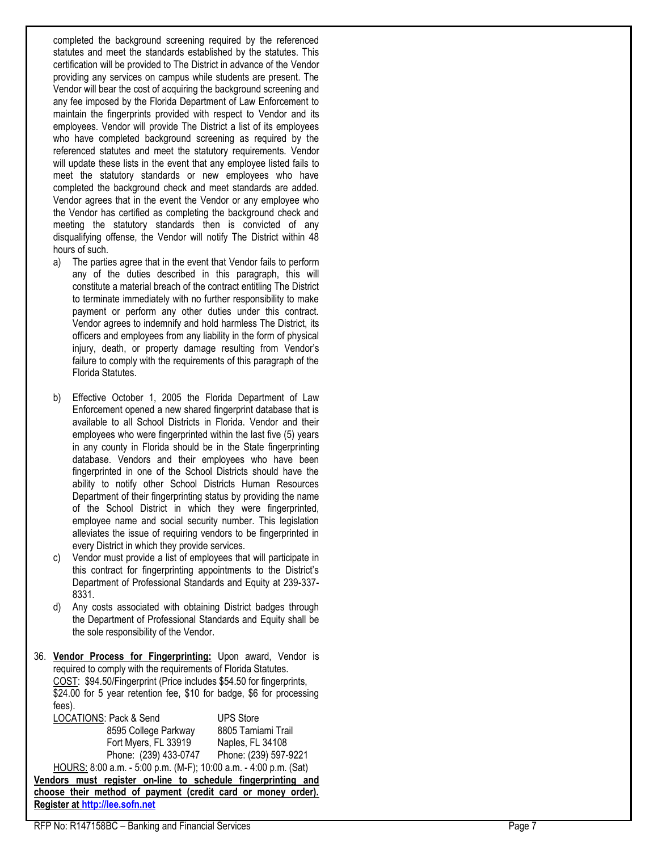completed the background screening required by the referenced statutes and meet the standards established by the statutes. This certification will be provided to The District in advance of the Vendor providing any services on campus while students are present. The Vendor will bear the cost of acquiring the background screening and any fee imposed by the Florida Department of Law Enforcement to maintain the fingerprints provided with respect to Vendor and its employees. Vendor will provide The District a list of its employees who have completed background screening as required by the referenced statutes and meet the statutory requirements. Vendor will update these lists in the event that any employee listed fails to meet the statutory standards or new employees who have completed the background check and meet standards are added. Vendor agrees that in the event the Vendor or any employee who the Vendor has certified as completing the background check and meeting the statutory standards then is convicted of any disqualifying offense, the Vendor will notify The District within 48 hours of such.

- a) The parties agree that in the event that Vendor fails to perform any of the duties described in this paragraph, this will constitute a material breach of the contract entitling The District to terminate immediately with no further responsibility to make payment or perform any other duties under this contract. Vendor agrees to indemnify and hold harmless The District, its officers and employees from any liability in the form of physical injury, death, or property damage resulting from Vendor's failure to comply with the requirements of this paragraph of the Florida Statutes.
- b) Effective October 1, 2005 the Florida Department of Law Enforcement opened a new shared fingerprint database that is available to all School Districts in Florida. Vendor and their employees who were fingerprinted within the last five (5) years in any county in Florida should be in the State fingerprinting database. Vendors and their employees who have been fingerprinted in one of the School Districts should have the ability to notify other School Districts Human Resources Department of their fingerprinting status by providing the name of the School District in which they were fingerprinted, employee name and social security number. This legislation alleviates the issue of requiring vendors to be fingerprinted in every District in which they provide services.
- c) Vendor must provide a list of employees that will participate in this contract for fingerprinting appointments to the District's Department of Professional Standards and Equity at 239 -337 - 8331.
- Any costs associated with obtaining District badges through the Department of Professional Standards and Equity shall be the sole responsibility of the Vendor.
- 36. **Vendor Process for Fingerprinting:** Upon award, Vendor is required to comply with the requirements of Florida Statutes. COST: \$94.50/Fingerprint (Price includes \$54.50 for fingerprints, \$24.00 for 5 year retention fee, \$10 for badge, \$6 for processing fees).

| LOCATIONS: Pack & Send                                           | <b>UPS Store</b>   |
|------------------------------------------------------------------|--------------------|
| 8595 College Parkway                                             | 8805 Tamiami Trail |
| Fort Myers, FL 33919                                             | Naples, FL 34108   |
| Phone: (239) 433-0747 Phone: (239) 597-9221                      |                    |
| HOURS: 8:00 a.m. - 5:00 p.m. (M-F); 10:00 a.m. - 4:00 p.m. (Sat) |                    |
| Vendors must register on-line to schedule fingerprinting and     |                    |
| choose their method of payment (credit card or money order).     |                    |
| Register at http://lee.sofn.net                                  |                    |
|                                                                  |                    |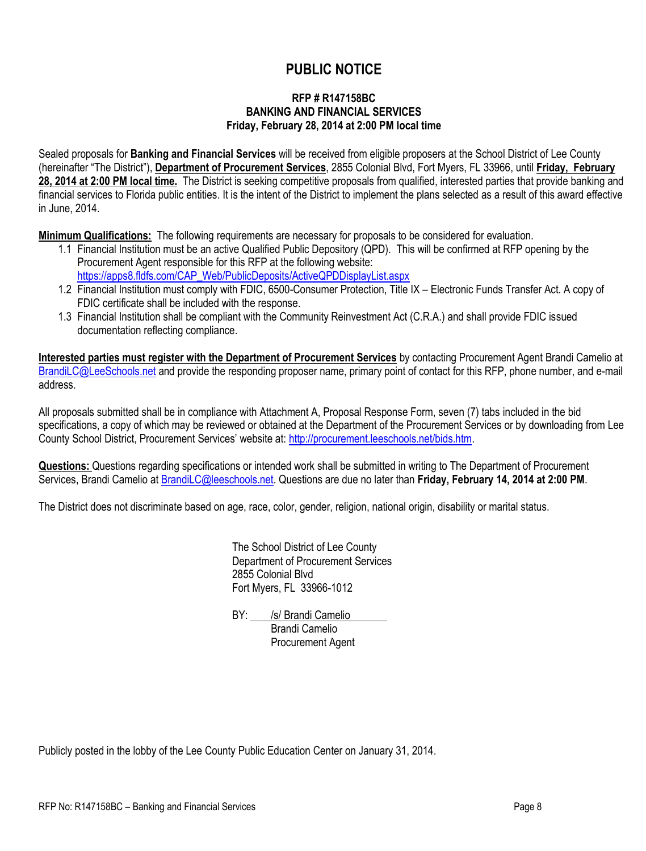## **PUBLIC NOTICE**

### **RFP # R147158BC BANKING AND FINANCIAL SERVICES Friday, February 28, 2014 at 2:00 PM local time**

Sealed proposals for **Banking and Financial Services** will be received from eligible proposers at the School District of Lee County (hereinafter "The District"), **Department of Procurement Services**, 2855 Colonial Blvd, Fort Myers, FL 33966, until **Friday, February 28, 2014 at 2:00 PM local time.** The District is seeking competitive proposals from qualified, interested parties that provide banking and financial services to Florida public entities. It is the intent of the District to implement the plans selected as a result of this award effective in June, 2014.

**Minimum Qualifications:** The following requirements are necessary for proposals to be considered for evaluation.

- 1.1 Financial Institution must be an active Qualified Public Depository (QPD). This will be confirmed at RFP opening by the Procurement Agent responsible for this RFP at the following website: [https://apps8.fldfs.com/CAP\\_Web/PublicDeposits/ActiveQPDDisplayList.aspx](https://www.myfloridacfo.com/division/treasury/collateral-management/qualified-public-depositories)
- 1.2 Financial Institution must comply with FDIC, 6500-Consumer Protection, Title IX Electronic Funds Transfer Act. A copy of FDIC certificate shall be included with the response.
- 1.3 Financial Institution shall be compliant with the Community Reinvestment Act (C.R.A.) and shall provide FDIC issued documentation reflecting compliance.

**Interested parties must register with the Department of Procurement Services** by contacting Procurement Agent Brandi Camelio at [BrandiLC@LeeSchools.net](mailto:BrandiLC@LeeSchools.net) and provide the responding proposer name, primary point of contact for this RFP, phone number, and e-mail address.

All proposals submitted shall be in compliance with Attachment A, Proposal Response Form, seven (7) tabs included in the bid specifications, a copy of which may be reviewed or obtained at the Department of the Procurement Services or by downloading from Lee County School District, Procurement Services' website at: [http://procurement.leeschools.net/bids.htm.](https://www.leeschools.net/procurement)

**Questions:** Questions regarding specifications or intended work shall be submitted in writing to The Department of Procurement Services, Brandi Camelio at [BrandiLC@leeschools.net.](mailto:BrandiLC@leeschools.net) Questions are due no later than **Friday, February 14, 2014 at 2:00 PM**.

The District does not discriminate based on age, race, color, gender, religion, national origin, disability or marital status.

The School District of Lee County Department of Procurement Services 2855 Colonial Blvd Fort Myers, FL 33966-1012

BY: **/s/ Brandi Camelio** Brandi Camelio Procurement Agent

Publicly posted in the lobby of the Lee County Public Education Center on January 31, 2014.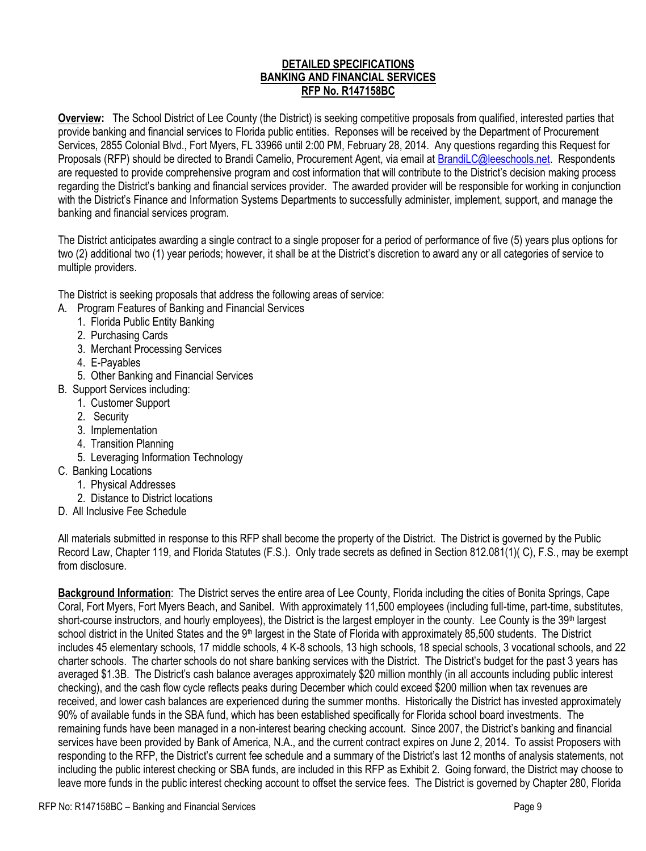### **DETAILED SPECIFICATIONS BANKING AND FINANCIAL SERVICES RFP No. R147158BC**

**Overview:** The School District of Lee County (the District) is seeking competitive proposals from qualified, interested parties that provide banking and financial services to Florida public entities. Reponses will be received by the Department of Procurement Services, 2855 Colonial Blvd., Fort Myers, FL 33966 until 2:00 PM, February 28, 2014. Any questions regarding this Request for Proposals (RFP) should be directed to Brandi Camelio, Procurement Agent, via email at [BrandiLC@leeschools.net.](mailto:BrandiLC@leeschools.net) Respondents are requested to provide comprehensive program and cost information that will contribute to the District's decision making process regarding the District's banking and financial services provider. The awarded provider will be responsible for working in conjunction with the District's Finance and Information Systems Departments to successfully administer, implement, support, and manage the banking and financial services program.

The District anticipates awarding a single contract to a single proposer for a period of performance of five (5) years plus options for two (2) additional two (1) year periods; however, it shall be at the District's discretion to award any or all categories of service to multiple providers.

The District is seeking proposals that address the following areas of service:

- A. Program Features of Banking and Financial Services
	- 1. Florida Public Entity Banking
	- 2. Purchasing Cards
	- 3. Merchant Processing Services
	- 4. E-Payables
	- 5. Other Banking and Financial Services
- B. Support Services including:
	- 1. Customer Support
	- 2. Security
	- 3. Implementation
	- 4. Transition Planning
	- 5. Leveraging Information Technology
- C. Banking Locations
	- 1. Physical Addresses
	- 2. Distance to District locations
- D. All Inclusive Fee Schedule

All materials submitted in response to this RFP shall become the property of the District. The District is governed by the Public Record Law, Chapter 119, and Florida Statutes (F.S.). Only trade secrets as defined in Section 812.081(1)( C), F.S., may be exempt from disclosure.

**Background Information**: The District serves the entire area of Lee County, Florida including the cities of Bonita Springs, Cape Coral, Fort Myers, Fort Myers Beach, and Sanibel. With approximately 11,500 employees (including full-time, part-time, substitutes, short-course instructors, and hourly employees), the District is the largest employer in the county. Lee County is the 39<sup>th</sup> largest school district in the United States and the 9<sup>th</sup> largest in the State of Florida with approximately 85,500 students. The District includes 45 elementary schools, 17 middle schools, 4 K-8 schools, 13 high schools, 18 special schools, 3 vocational schools, and 22 charter schools. The charter schools do not share banking services with the District. The District's budget for the past 3 years has averaged \$1.3B. The District's cash balance averages approximately \$20 million monthly (in all accounts including public interest checking), and the cash flow cycle reflects peaks during December which could exceed \$200 million when tax revenues are received, and lower cash balances are experienced during the summer months. Historically the District has invested approximately 90% of available funds in the SBA fund, which has been established specifically for Florida school board investments. The remaining funds have been managed in a non-interest bearing checking account. Since 2007, the District's banking and financial services have been provided by Bank of America, N.A., and the current contract expires on June 2, 2014. To assist Proposers with responding to the RFP, the District's current fee schedule and a summary of the District's last 12 months of analysis statements, not including the public interest checking or SBA funds, are included in this RFP as Exhibit 2. Going forward, the District may choose to leave more funds in the public interest checking account to offset the service fees. The District is governed by Chapter 280, Florida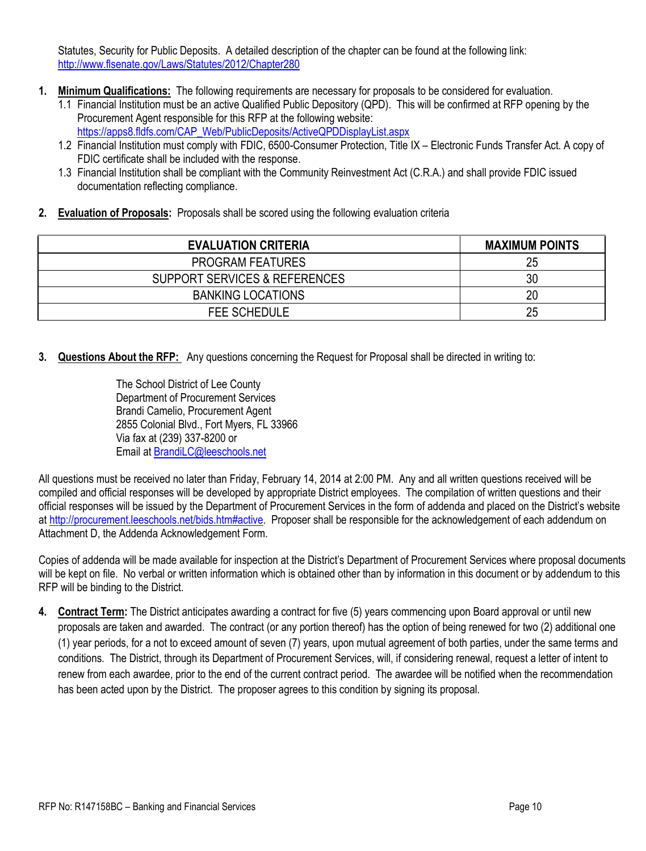Statutes, Security for Public Deposits. A detailed description of the chapter can be found at the following link: <http://www.flsenate.gov/Laws/Statutes/2012/Chapter280>

- **1. Minimum Qualifications:** The following requirements are necessary for proposals to be considered for evaluation.
	- 1.1 Financial Institution must be an active Qualified Public Depository (QPD). This will be confirmed at RFP opening by the Procurement Agent responsible for this RFP at the following website: [https://apps8.fldfs.com/CAP\\_Web/PublicDeposits/ActiveQPDDisplayList.aspx](https://www.myfloridacfo.com/division/treasury/collateral-management/qualified-public-depositories)
	- 1.2 Financial Institution must comply with FDIC, 6500-Consumer Protection, Title IX Electronic Funds Transfer Act. A copy of FDIC certificate shall be included with the response.
	- 1.3 Financial Institution shall be compliant with the Community Reinvestment Act (C.R.A.) and shall provide FDIC issued documentation reflecting compliance.
- **2. Evaluation of Proposals:** Proposals shall be scored using the following evaluation criteria

| <b>EVALUATION CRITERIA</b>    | <b>MAXIMUM POINTS</b> |
|-------------------------------|-----------------------|
| <b>PROGRAM FEATURES</b>       | 25                    |
| SUPPORT SERVICES & REFERENCES | 30                    |
| <b>BANKING LOCATIONS</b>      | 20                    |
| FEE SCHEDULE                  | 25                    |

**3. Questions About the RFP:** Any questions concerning the Request for Proposal shall be directed in writing to:

The School District of Lee County Department of Procurement Services Brandi Camelio, Procurement Agent 2855 Colonial Blvd., Fort Myers, FL 33966 Via fax at (239) 337-8200 or Email at [BrandiLC@leeschools.net](mailto:BrandiLC@leeschools.net)

All questions must be received no later than Friday, February 14, 2014 at 2:00 PM. Any and all written questions received will be compiled and official responses will be developed by appropriate District employees. The compilation of written questions and their official responses will be issued by the Department of Procurement Services in the form of addenda and placed on the District's website at [http://procurement.leeschools.net/bids.htm#active.](https://www.leeschools.net/procurement) Proposer shall be responsible for the acknowledgement of each addendum on Attachment D, the Addenda Acknowledgement Form.

Copies of addenda will be made available for inspection at the District's Department of Procurement Services where proposal documents will be kept on file. No verbal or written information which is obtained other than by information in this document or by addendum to this RFP will be binding to the District.

**4. Contract Term:** The District anticipates awarding a contract for five (5) years commencing upon Board approval or until new proposals are taken and awarded. The contract (or any portion thereof) has the option of being renewed for two (2) additional one (1) year periods, for a not to exceed amount of seven (7) years, upon mutual agreement of both parties, under the same terms and conditions. The District, through its Department of Procurement Services, will, if considering renewal, request a letter of intent to renew from each awardee, prior to the end of the current contract period. The awardee will be notified when the recommendation has been acted upon by the District. The proposer agrees to this condition by signing its proposal.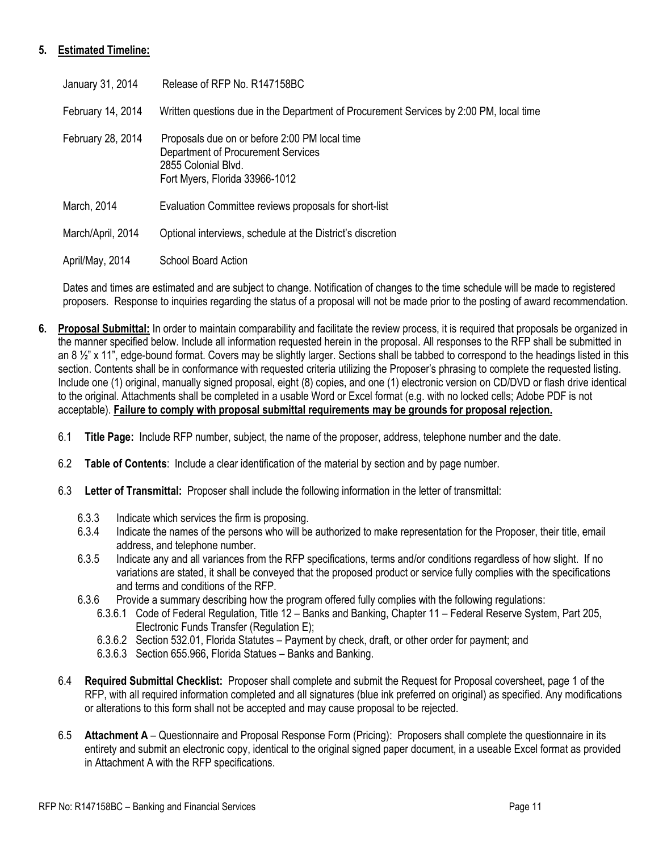### **5. Estimated Timeline:**

| January 31, 2014  | Release of RFP No. R147158BC                                                                                                                 |
|-------------------|----------------------------------------------------------------------------------------------------------------------------------------------|
| February 14, 2014 | Written questions due in the Department of Procurement Services by 2:00 PM, local time                                                       |
| February 28, 2014 | Proposals due on or before 2:00 PM local time<br>Department of Procurement Services<br>2855 Colonial Blvd.<br>Fort Myers, Florida 33966-1012 |
| March, 2014       | Evaluation Committee reviews proposals for short-list                                                                                        |
| March/April, 2014 | Optional interviews, schedule at the District's discretion                                                                                   |
| April/May, 2014   | <b>School Board Action</b>                                                                                                                   |

Dates and times are estimated and are subject to change. Notification of changes to the time schedule will be made to registered proposers. Response to inquiries regarding the status of a proposal will not be made prior to the posting of award recommendation.

- **6. Proposal Submittal:** In order to maintain comparability and facilitate the review process, it is required that proposals be organized in the manner specified below. Include all information requested herein in the proposal. All responses to the RFP shall be submitted in an 8  $\frac{1}{2}$ " x 11", edge-bound format. Covers may be slightly larger. Sections shall be tabbed to correspond to the headings listed in this section. Contents shall be in conformance with requested criteria utilizing the Proposer's phrasing to complete the requested listing. Include one (1) original, manually signed proposal, eight (8) copies, and one (1) electronic version on CD/DVD or flash drive identical to the original. Attachments shall be completed in a usable Word or Excel format (e.g. with no locked cells; Adobe PDF is not acceptable). **Failure to comply with proposal submittal requirements may be grounds for proposal rejection.**
	- 6.1 **Title Page:** Include RFP number, subject, the name of the proposer, address, telephone number and the date.
	- 6.2 **Table of Contents**: Include a clear identification of the material by section and by page number.
	- 6.3 **Letter of Transmittal:** Proposer shall include the following information in the letter of transmittal:
		- 6.3.3 Indicate which services the firm is proposing.
		- 6.3.4 Indicate the names of the persons who will be authorized to make representation for the Proposer, their title, email address, and telephone number.
		- 6.3.5 Indicate any and all variances from the RFP specifications, terms and/or conditions regardless of how slight. If no variations are stated, it shall be conveyed that the proposed product or service fully complies with the specifications and terms and conditions of the RFP.
		- 6.3.6 Provide a summary describing how the program offered fully complies with the following regulations:
			- 6.3.6.1 Code of Federal Regulation, Title 12 Banks and Banking, Chapter 11 Federal Reserve System, Part 205, Electronic Funds Transfer (Regulation E);
			- 6.3.6.2 Section 532.01, Florida Statutes Payment by check, draft, or other order for payment; and
			- 6.3.6.3 Section 655.966, Florida Statues Banks and Banking.
	- 6.4 **Required Submittal Checklist:** Proposer shall complete and submit the Request for Proposal coversheet, page 1 of the RFP, with all required information completed and all signatures (blue ink preferred on original) as specified. Any modifications or alterations to this form shall not be accepted and may cause proposal to be rejected.
	- 6.5 **Attachment A**  Questionnaire and Proposal Response Form (Pricing): Proposers shall complete the questionnaire in its entirety and submit an electronic copy, identical to the original signed paper document, in a useable Excel format as provided in Attachment A with the RFP specifications.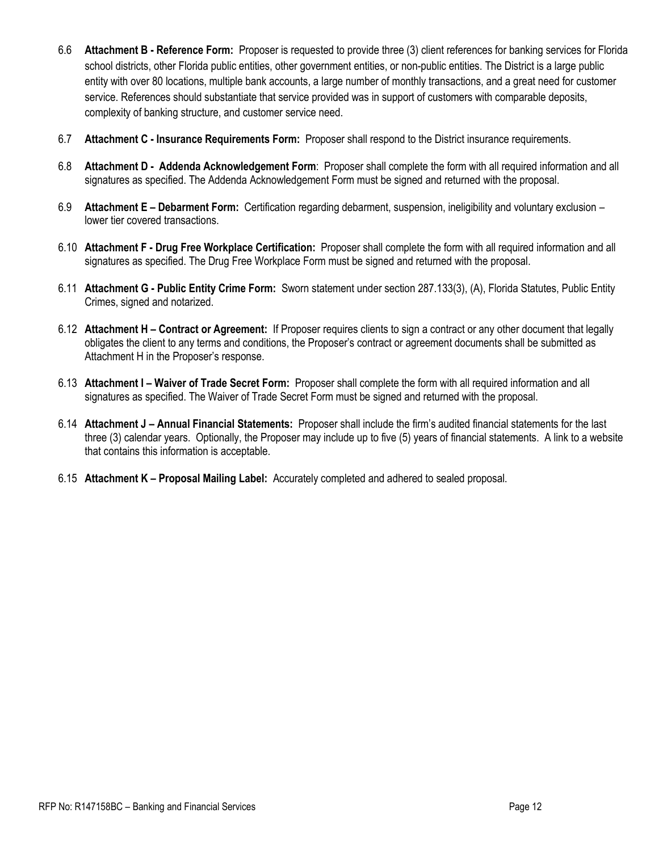- 6.6 **Attachment B - Reference Form:** Proposer is requested to provide three (3) client references for banking services for Florida school districts, other Florida public entities, other government entities, or non-public entities. The District is a large public entity with over 80 locations, multiple bank accounts, a large number of monthly transactions, and a great need for customer service. References should substantiate that service provided was in support of customers with comparable deposits, complexity of banking structure, and customer service need.
- 6.7 **Attachment C - Insurance Requirements Form:** Proposer shall respond to the District insurance requirements.
- 6.8 **Attachment D Addenda Acknowledgement Form**: Proposer shall complete the form with all required information and all signatures as specified. The Addenda Acknowledgement Form must be signed and returned with the proposal.
- 6.9 **Attachment E – Debarment Form:** Certification regarding debarment, suspension, ineligibility and voluntary exclusion lower tier covered transactions.
- 6.10 **Attachment F - Drug Free Workplace Certification:** Proposer shall complete the form with all required information and all signatures as specified. The Drug Free Workplace Form must be signed and returned with the proposal.
- 6.11 **Attachment G - Public Entity Crime Form:** Sworn statement under section 287.133(3), (A), Florida Statutes, Public Entity Crimes, signed and notarized.
- 6.12 **Attachment H – Contract or Agreement:** If Proposer requires clients to sign a contract or any other document that legally obligates the client to any terms and conditions, the Proposer's contract or agreement documents shall be submitted as Attachment H in the Proposer's response.
- 6.13 **Attachment I – Waiver of Trade Secret Form:** Proposer shall complete the form with all required information and all signatures as specified. The Waiver of Trade Secret Form must be signed and returned with the proposal.
- 6.14 **Attachment J – Annual Financial Statements:** Proposer shall include the firm's audited financial statements for the last three (3) calendar years. Optionally, the Proposer may include up to five (5) years of financial statements. A link to a website that contains this information is acceptable.
- 6.15 **Attachment K – Proposal Mailing Label:** Accurately completed and adhered to sealed proposal.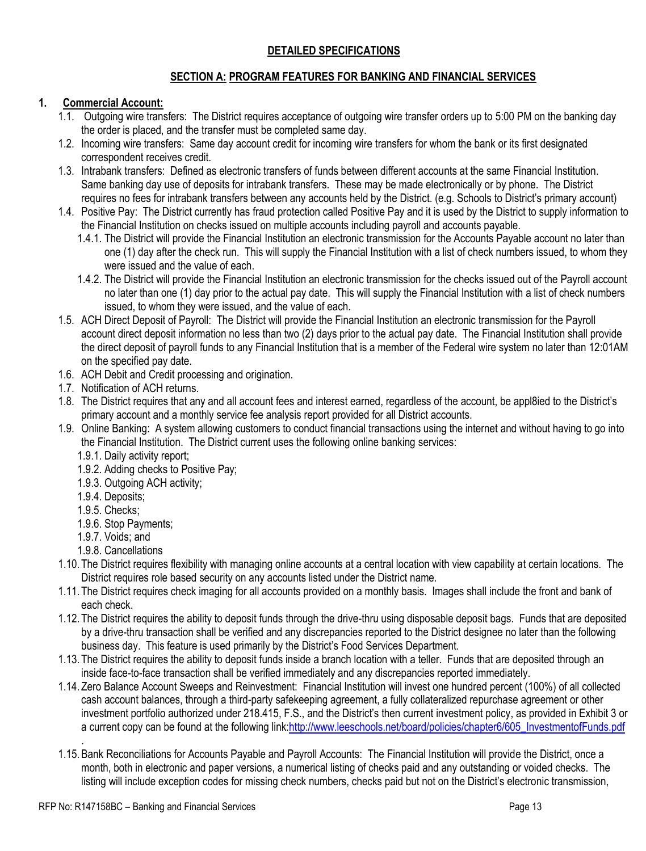### **DETAILED SPECIFICATIONS**

### **SECTION A: PROGRAM FEATURES FOR BANKING AND FINANCIAL SERVICES**

### **1. Commercial Account:**

- 1.1. Outgoing wire transfers: The District requires acceptance of outgoing wire transfer orders up to 5:00 PM on the banking day the order is placed, and the transfer must be completed same day.
- 1.2. Incoming wire transfers: Same day account credit for incoming wire transfers for whom the bank or its first designated correspondent receives credit.
- 1.3. Intrabank transfers: Defined as electronic transfers of funds between different accounts at the same Financial Institution. Same banking day use of deposits for intrabank transfers. These may be made electronically or by phone. The District requires no fees for intrabank transfers between any accounts held by the District. (e.g. Schools to District's primary account)
- 1.4. Positive Pay: The District currently has fraud protection called Positive Pay and it is used by the District to supply information to the Financial Institution on checks issued on multiple accounts including payroll and accounts payable.
	- 1.4.1. The District will provide the Financial Institution an electronic transmission for the Accounts Payable account no later than one (1) day after the check run. This will supply the Financial Institution with a list of check numbers issued, to whom they were issued and the value of each.
	- 1.4.2. The District will provide the Financial Institution an electronic transmission for the checks issued out of the Payroll account no later than one (1) day prior to the actual pay date. This will supply the Financial Institution with a list of check numbers issued, to whom they were issued, and the value of each.
- 1.5. ACH Direct Deposit of Payroll: The District will provide the Financial Institution an electronic transmission for the Payroll account direct deposit information no less than two (2) days prior to the actual pay date. The Financial Institution shall provide the direct deposit of payroll funds to any Financial Institution that is a member of the Federal wire system no later than 12:01AM on the specified pay date.
- 1.6. ACH Debit and Credit processing and origination.
- 1.7. Notification of ACH returns.
- 1.8. The District requires that any and all account fees and interest earned, regardless of the account, be appl8ied to the District's primary account and a monthly service fee analysis report provided for all District accounts.
- 1.9. Online Banking: A system allowing customers to conduct financial transactions using the internet and without having to go into the Financial Institution. The District current uses the following online banking services:
	- 1.9.1. Daily activity report;
	- 1.9.2. Adding checks to Positive Pay;
	- 1.9.3. Outgoing ACH activity;
	- 1.9.4. Deposits;
	- 1.9.5. Checks;

.

- 1.9.6. Stop Payments;
- 1.9.7. Voids; and
- 1.9.8. Cancellations
- 1.10. The District requires flexibility with managing online accounts at a central location with view capability at certain locations. The District requires role based security on any accounts listed under the District name.
- 1.11. The District requires check imaging for all accounts provided on a monthly basis. Images shall include the front and bank of each check.
- 1.12. The District requires the ability to deposit funds through the drive-thru using disposable deposit bags. Funds that are deposited by a drive-thru transaction shall be verified and any discrepancies reported to the District designee no later than the following business day. This feature is used primarily by the District's Food Services Department.
- 1.13. The District requires the ability to deposit funds inside a branch location with a teller. Funds that are deposited through an inside face-to-face transaction shall be verified immediately and any discrepancies reported immediately.
- 1.14. Zero Balance Account Sweeps and Reinvestment: Financial Institution will invest one hundred percent (100%) of all collected cash account balances, through a third-party safekeeping agreement, a fully collateralized repurchase agreement or other investment portfolio authorized under 218.415, F.S., and the District's then current investment policy, as provided in Exhibit 3 or a current copy can be found at the following lin[k:http://www.leeschools.net/board/policies/chapter6/605\\_InvestmentofFunds.pdf](https://www.leeschools.net/common/pages/DisplayFile.aspx?itemId=1493512)
- 1.15.Bank Reconciliations for Accounts Payable and Payroll Accounts: The Financial Institution will provide the District, once a month, both in electronic and paper versions, a numerical listing of checks paid and any outstanding or voided checks. The listing will include exception codes for missing check numbers, checks paid but not on the District's electronic transmission,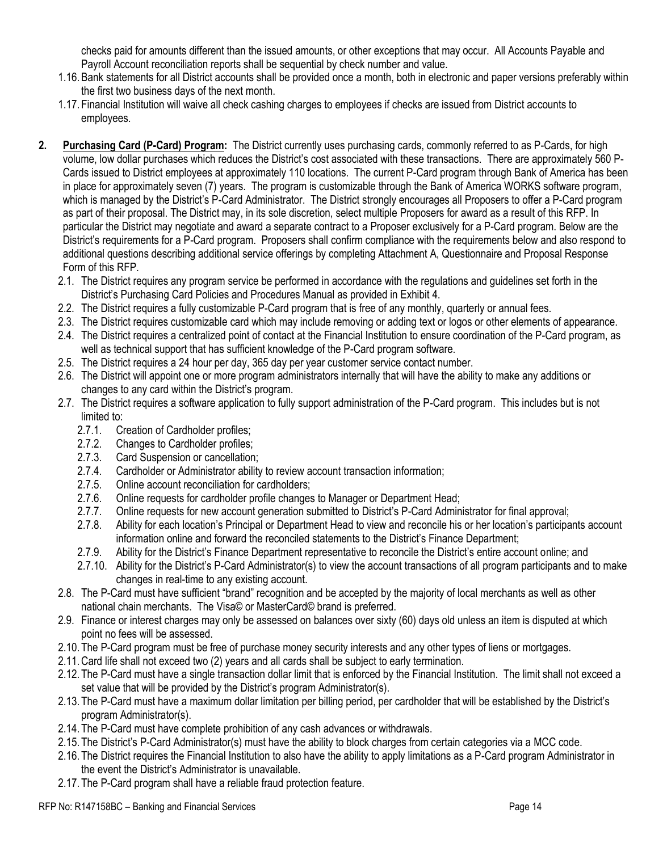checks paid for amounts different than the issued amounts, or other exceptions that may occur. All Accounts Payable and Payroll Account reconciliation reports shall be sequential by check number and value.

- 1.16.Bank statements for all District accounts shall be provided once a month, both in electronic and paper versions preferably within the first two business days of the next month.
- 1.17. Financial Institution will waive all check cashing charges to employees if checks are issued from District accounts to employees.
- **2. Purchasing Card (P-Card) Program:** The District currently uses purchasing cards, commonly referred to as P-Cards, for high volume, low dollar purchases which reduces the District's cost associated with these transactions. There are approximately 560 P-Cards issued to District employees at approximately 110 locations. The current P-Card program through Bank of America has been in place for approximately seven (7) years. The program is customizable through the Bank of America WORKS software program, which is managed by the District's P-Card Administrator. The District strongly encourages all Proposers to offer a P-Card program as part of their proposal. The District may, in its sole discretion, select multiple Proposers for award as a result of this RFP. In particular the District may negotiate and award a separate contract to a Proposer exclusively for a P-Card program. Below are the District's requirements for a P-Card program. Proposers shall confirm compliance with the requirements below and also respond to additional questions describing additional service offerings by completing Attachment A, Questionnaire and Proposal Response Form of this RFP.
	- 2.1. The District requires any program service be performed in accordance with the regulations and guidelines set forth in the District's Purchasing Card Policies and Procedures Manual as provided in Exhibit 4.
	- 2.2. The District requires a fully customizable P-Card program that is free of any monthly, quarterly or annual fees.
	- 2.3. The District requires customizable card which may include removing or adding text or logos or other elements of appearance.
	- 2.4. The District requires a centralized point of contact at the Financial Institution to ensure coordination of the P-Card program, as well as technical support that has sufficient knowledge of the P-Card program software.
	- 2.5. The District requires a 24 hour per day, 365 day per year customer service contact number.
	- 2.6. The District will appoint one or more program administrators internally that will have the ability to make any additions or changes to any card within the District's program.
	- 2.7. The District requires a software application to fully support administration of the P-Card program. This includes but is not limited to:
		- 2.7.1. Creation of Cardholder profiles;
		- 2.7.2. Changes to Cardholder profiles;
		- 2.7.3. Card Suspension or cancellation;
		- 2.7.4. Cardholder or Administrator ability to review account transaction information;
		- 2.7.5. Online account reconciliation for cardholders;
		- 2.7.6. Online requests for cardholder profile changes to Manager or Department Head;
		- 2.7.7. Online requests for new account generation submitted to District's P-Card Administrator for final approval;
		- 2.7.8. Ability for each location's Principal or Department Head to view and reconcile his or her location's participants account information online and forward the reconciled statements to the District's Finance Department;
		- 2.7.9. Ability for the District's Finance Department representative to reconcile the District's entire account online; and
		- 2.7.10. Ability for the District's P-Card Administrator(s) to view the account transactions of all program participants and to make changes in real-time to any existing account.
	- 2.8. The P-Card must have sufficient "brand" recognition and be accepted by the majority of local merchants as well as other national chain merchants. The Visa© or MasterCard© brand is preferred.
	- 2.9. Finance or interest charges may only be assessed on balances over sixty (60) days old unless an item is disputed at which point no fees will be assessed.
	- 2.10. The P-Card program must be free of purchase money security interests and any other types of liens or mortgages.
	- 2.11.Card life shall not exceed two (2) years and all cards shall be subject to early termination.
	- 2.12. The P-Card must have a single transaction dollar limit that is enforced by the Financial Institution. The limit shall not exceed a set value that will be provided by the District's program Administrator(s).
	- 2.13. The P-Card must have a maximum dollar limitation per billing period, per cardholder that will be established by the District's program Administrator(s).
	- 2.14. The P-Card must have complete prohibition of any cash advances or withdrawals.
	- 2.15. The District's P-Card Administrator(s) must have the ability to block charges from certain categories via a MCC code.
	- 2.16. The District requires the Financial Institution to also have the ability to apply limitations as a P-Card program Administrator in the event the District's Administrator is unavailable.
	- 2.17. The P-Card program shall have a reliable fraud protection feature.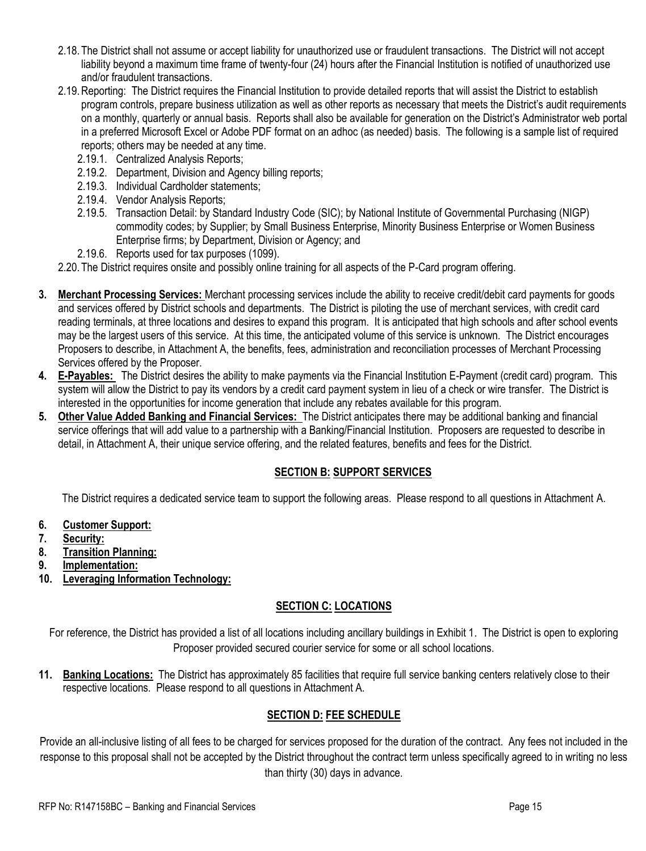- 2.18. The District shall not assume or accept liability for unauthorized use or fraudulent transactions. The District will not accept liability beyond a maximum time frame of twenty-four (24) hours after the Financial Institution is notified of unauthorized use and/or fraudulent transactions.
- 2.19.Reporting: The District requires the Financial Institution to provide detailed reports that will assist the District to establish program controls, prepare business utilization as well as other reports as necessary that meets the District's audit requirements on a monthly, quarterly or annual basis. Reports shall also be available for generation on the District's Administrator web portal in a preferred Microsoft Excel or Adobe PDF format on an adhoc (as needed) basis. The following is a sample list of required reports; others may be needed at any time.
	- 2.19.1. Centralized Analysis Reports;
	- 2.19.2. Department, Division and Agency billing reports;
	- 2.19.3. Individual Cardholder statements;
	- 2.19.4. Vendor Analysis Reports;
	- 2.19.5. Transaction Detail: by Standard Industry Code (SIC); by National Institute of Governmental Purchasing (NIGP) commodity codes; by Supplier; by Small Business Enterprise, Minority Business Enterprise or Women Business Enterprise firms; by Department, Division or Agency; and
	- 2.19.6. Reports used for tax purposes (1099).

2.20. The District requires onsite and possibly online training for all aspects of the P-Card program offering.

- **3. Merchant Processing Services:** Merchant processing services include the ability to receive credit/debit card payments for goods and services offered by District schools and departments. The District is piloting the use of merchant services, with credit card reading terminals, at three locations and desires to expand this program. It is anticipated that high schools and after school events may be the largest users of this service. At this time, the anticipated volume of this service is unknown. The District encourages Proposers to describe, in Attachment A, the benefits, fees, administration and reconciliation processes of Merchant Processing Services offered by the Proposer.
- **4. E-Payables:** The District desires the ability to make payments via the Financial Institution E-Payment (credit card) program. This system will allow the District to pay its vendors by a credit card payment system in lieu of a check or wire transfer. The District is interested in the opportunities for income generation that include any rebates available for this program.
- **5. Other Value Added Banking and Financial Services:** The District anticipates there may be additional banking and financial service offerings that will add value to a partnership with a Banking/Financial Institution. Proposers are requested to describe in detail, in Attachment A, their unique service offering, and the related features, benefits and fees for the District.

### **SECTION B: SUPPORT SERVICES**

The District requires a dedicated service team to support the following areas. Please respond to all questions in Attachment A.

- **6. Customer Support:**
- **7. Security:**
- **8. Transition Planning:**
- **9. Implementation:**
- **10. Leveraging Information Technology:**

### **SECTION C: LOCATIONS**

For reference, the District has provided a list of all locations including ancillary buildings in Exhibit 1. The District is open to exploring Proposer provided secured courier service for some or all school locations.

**11. Banking Locations:** The District has approximately 85 facilities that require full service banking centers relatively close to their respective locations. Please respond to all questions in Attachment A.

### **SECTION D: FEE SCHEDULE**

Provide an all-inclusive listing of all fees to be charged for services proposed for the duration of the contract. Any fees not included in the response to this proposal shall not be accepted by the District throughout the contract term unless specifically agreed to in writing no less than thirty (30) days in advance.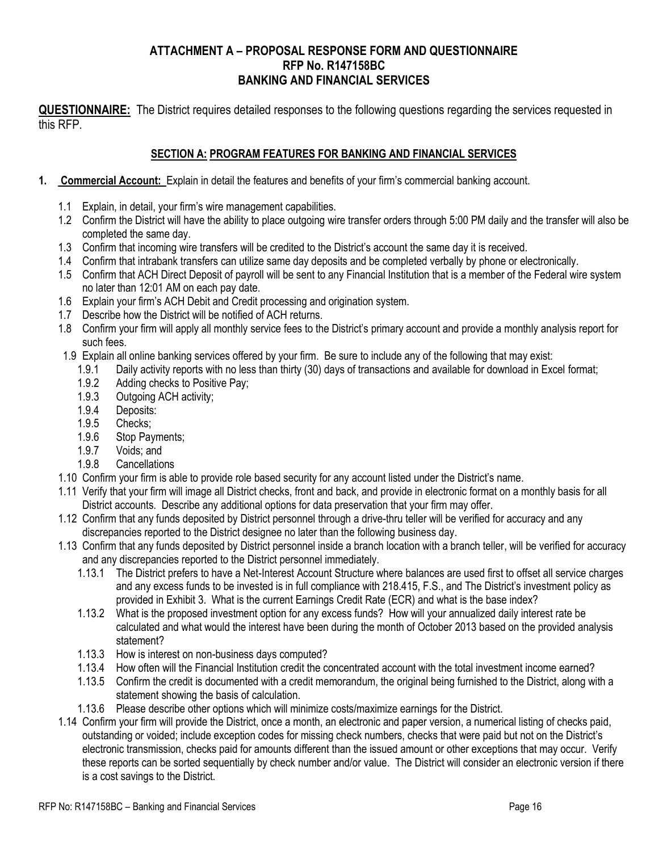### **ATTACHMENT A – PROPOSAL RESPONSE FORM AND QUESTIONNAIRE RFP No. R147158BC BANKING AND FINANCIAL SERVICES**

**QUESTIONNAIRE:** The District requires detailed responses to the following questions regarding the services requested in this RFP.

### **SECTION A: PROGRAM FEATURES FOR BANKING AND FINANCIAL SERVICES**

- **1. Commercial Account:** Explain in detail the features and benefits of your firm's commercial banking account.
	- 1.1 Explain, in detail, your firm's wire management capabilities.
	- 1.2 Confirm the District will have the ability to place outgoing wire transfer orders through 5:00 PM daily and the transfer will also be completed the same day.
	- 1.3 Confirm that incoming wire transfers will be credited to the District's account the same day it is received.
	- 1.4 Confirm that intrabank transfers can utilize same day deposits and be completed verbally by phone or electronically.
	- 1.5 Confirm that ACH Direct Deposit of payroll will be sent to any Financial Institution that is a member of the Federal wire system no later than 12:01 AM on each pay date.
	- 1.6 Explain your firm's ACH Debit and Credit processing and origination system.
	- 1.7 Describe how the District will be notified of ACH returns.
	- 1.8 Confirm your firm will apply all monthly service fees to the District's primary account and provide a monthly analysis report for such fees.
	- 1.9 Explain all online banking services offered by your firm. Be sure to include any of the following that may exist:
		- 1.9.1 Daily activity reports with no less than thirty (30) days of transactions and available for download in Excel format;
			- 1.9.2 Adding checks to Positive Pay;<br>1.9.3 Outgoing ACH activity:
			- 1.9.3 Outgoing ACH activity;<br>1.9.4 Deposits:
			- Deposits:
			- 1.9.5 Checks;
			- 1.9.6 Stop Payments;
			- 1.9.7 Voids; and
			- 1.9.8 Cancellations
	- 1.10 Confirm your firm is able to provide role based security for any account listed under the District's name.
	- 1.11 Verify that your firm will image all District checks, front and back, and provide in electronic format on a monthly basis for all District accounts. Describe any additional options for data preservation that your firm may offer.
	- 1.12 Confirm that any funds deposited by District personnel through a drive-thru teller will be verified for accuracy and any discrepancies reported to the District designee no later than the following business day.
	- 1.13 Confirm that any funds deposited by District personnel inside a branch location with a branch teller, will be verified for accuracy and any discrepancies reported to the District personnel immediately.
		- 1.13.1 The District prefers to have a Net-Interest Account Structure where balances are used first to offset all service charges and any excess funds to be invested is in full compliance with 218.415, F.S., and The District's investment policy as provided in Exhibit 3. What is the current Earnings Credit Rate (ECR) and what is the base index?
		- 1.13.2 What is the proposed investment option for any excess funds? How will your annualized daily interest rate be calculated and what would the interest have been during the month of October 2013 based on the provided analysis statement?
		- 1.13.3 How is interest on non-business days computed?
		- 1.13.4 How often will the Financial Institution credit the concentrated account with the total investment income earned?
		- 1.13.5 Confirm the credit is documented with a credit memorandum, the original being furnished to the District, along with a statement showing the basis of calculation.
		- 1.13.6 Please describe other options which will minimize costs/maximize earnings for the District.
	- 1.14 Confirm your firm will provide the District, once a month, an electronic and paper version, a numerical listing of checks paid, outstanding or voided; include exception codes for missing check numbers, checks that were paid but not on the District's electronic transmission, checks paid for amounts different than the issued amount or other exceptions that may occur. Verify these reports can be sorted sequentially by check number and/or value. The District will consider an electronic version if there is a cost savings to the District.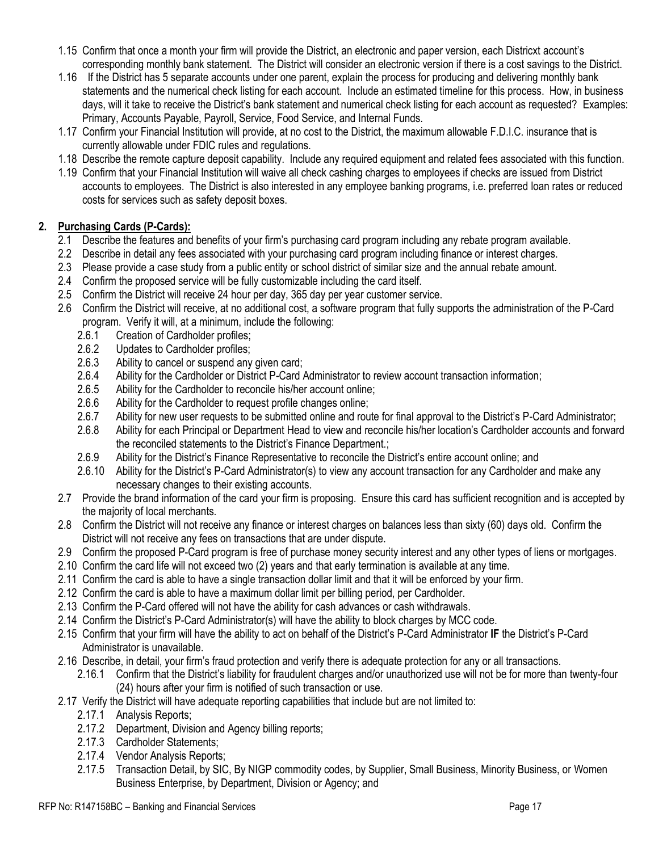- 1.15 Confirm that once a month your firm will provide the District, an electronic and paper version, each Districxt account's corresponding monthly bank statement. The District will consider an electronic version if there is a cost savings to the District.
- 1.16 If the District has 5 separate accounts under one parent, explain the process for producing and delivering monthly bank statements and the numerical check listing for each account. Include an estimated timeline for this process. How, in business days, will it take to receive the District's bank statement and numerical check listing for each account as requested? Examples: Primary, Accounts Payable, Payroll, Service, Food Service, and Internal Funds.
- 1.17 Confirm your Financial Institution will provide, at no cost to the District, the maximum allowable F.D.I.C. insurance that is currently allowable under FDIC rules and regulations.
- 1.18 Describe the remote capture deposit capability. Include any required equipment and related fees associated with this function.
- 1.19 Confirm that your Financial Institution will waive all check cashing charges to employees if checks are issued from District accounts to employees. The District is also interested in any employee banking programs, i.e. preferred loan rates or reduced costs for services such as safety deposit boxes.

### **2. Purchasing Cards (P-Cards):**

- 2.1 Describe the features and benefits of your firm's purchasing card program including any rebate program available.
- 2.2 Describe in detail any fees associated with your purchasing card program including finance or interest charges.
- 2.3 Please provide a case study from a public entity or school district of similar size and the annual rebate amount.
- 2.4 Confirm the proposed service will be fully customizable including the card itself.
- 2.5 Confirm the District will receive 24 hour per day, 365 day per year customer service.
- 2.6 Confirm the District will receive, at no additional cost, a software program that fully supports the administration of the P-Card program. Verify it will, at a minimum, include the following:
	- 2.6.1 Creation of Cardholder profiles;
	- 2.6.2 Updates to Cardholder profiles;
	- 2.6.3 Ability to cancel or suspend any given card:
	- 2.6.4 Ability for the Cardholder or District P-Card Administrator to review account transaction information;
	- 2.6.5 Ability for the Cardholder to reconcile his/her account online;<br>2.6.6 Ability for the Cardholder to request profile changes online:
	- Ability for the Cardholder to request profile changes online;
	- 2.6.7 Ability for new user requests to be submitted online and route for final approval to the District's P-Card Administrator;
	- 2.6.8 Ability for each Principal or Department Head to view and reconcile his/her location's Cardholder accounts and forward the reconciled statements to the District's Finance Department.;
	- 2.6.9 Ability for the District's Finance Representative to reconcile the District's entire account online; and
	- 2.6.10 Ability for the District's P-Card Administrator(s) to view any account transaction for any Cardholder and make any necessary changes to their existing accounts.
- 2.7 Provide the brand information of the card your firm is proposing. Ensure this card has sufficient recognition and is accepted by the majority of local merchants.
- 2.8 Confirm the District will not receive any finance or interest charges on balances less than sixty (60) days old. Confirm the District will not receive any fees on transactions that are under dispute.
- 2.9 Confirm the proposed P-Card program is free of purchase money security interest and any other types of liens or mortgages.
- 2.10 Confirm the card life will not exceed two (2) years and that early termination is available at any time.
- 2.11 Confirm the card is able to have a single transaction dollar limit and that it will be enforced by your firm.
- 2.12 Confirm the card is able to have a maximum dollar limit per billing period, per Cardholder.
- 2.13 Confirm the P-Card offered will not have the ability for cash advances or cash withdrawals.
- 2.14 Confirm the District's P-Card Administrator(s) will have the ability to block charges by MCC code.
- 2.15 Confirm that your firm will have the ability to act on behalf of the District's P-Card Administrator **IF** the District's P-Card Administrator is unavailable.
- 2.16 Describe, in detail, your firm's fraud protection and verify there is adequate protection for any or all transactions.
	- 2.16.1 Confirm that the District's liability for fraudulent charges and/or unauthorized use will not be for more than twenty-four (24) hours after your firm is notified of such transaction or use.
- 2.17 Verify the District will have adequate reporting capabilities that include but are not limited to:
	- 2.17.1 Analysis Reports;
	- 2.17.2 Department, Division and Agency billing reports;
	- 2.17.3 Cardholder Statements;
	- 2.17.4 Vendor Analysis Reports;
	- 2.17.5 Transaction Detail, by SIC, By NIGP commodity codes, by Supplier, Small Business, Minority Business, or Women Business Enterprise, by Department, Division or Agency; and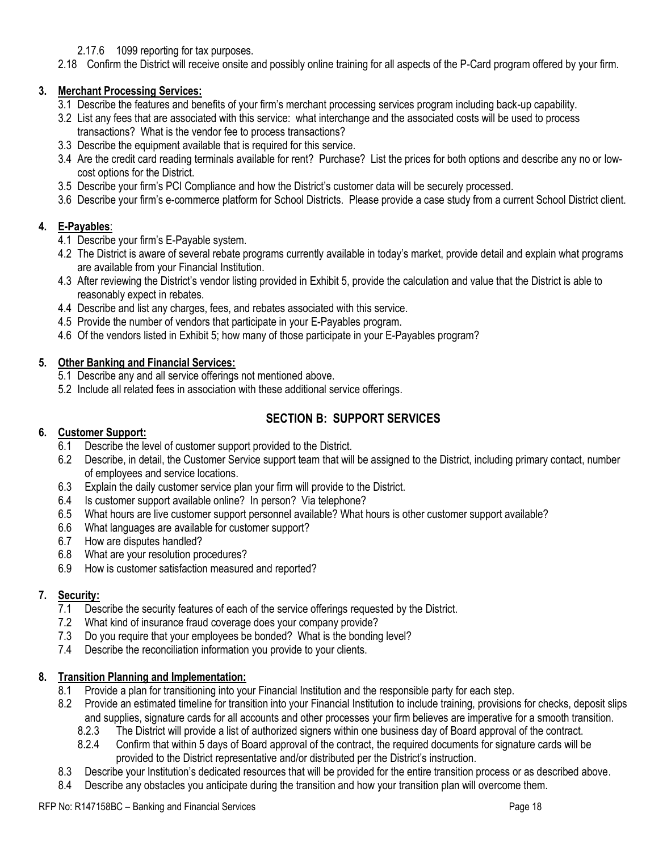2.17.6 1099 reporting for tax purposes.

### 2.18 Confirm the District will receive onsite and possibly online training for all aspects of the P-Card program offered by your firm.

### **3. Merchant Processing Services:**

- 3.1 Describe the features and benefits of your firm's merchant processing services program including back-up capability.
- 3.2 List any fees that are associated with this service: what interchange and the associated costs will be used to process transactions? What is the vendor fee to process transactions?
- 3.3 Describe the equipment available that is required for this service.
- 3.4 Are the credit card reading terminals available for rent? Purchase? List the prices for both options and describe any no or lowcost options for the District.
- 3.5 Describe your firm's PCI Compliance and how the District's customer data will be securely processed.
- 3.6 Describe your firm's e-commerce platform for School Districts. Please provide a case study from a current School District client.

### **4. E-Payables**:

- 4.1 Describe your firm's E-Payable system.
- 4.2 The District is aware of several rebate programs currently available in today's market, provide detail and explain what programs are available from your Financial Institution.
- 4.3 After reviewing the District's vendor listing provided in Exhibit 5, provide the calculation and value that the District is able to reasonably expect in rebates.
- 4.4 Describe and list any charges, fees, and rebates associated with this service.
- 4.5 Provide the number of vendors that participate in your E-Payables program.
- 4.6 Of the vendors listed in Exhibit 5; how many of those participate in your E-Payables program?

### **5. Other Banking and Financial Services:**

- 5.1 Describe any and all service offerings not mentioned above.
- 5.2 Include all related fees in association with these additional service offerings.

### **SECTION B: SUPPORT SERVICES**

### **6. Customer Support:**

- 6.1 Describe the level of customer support provided to the District.
- 6.2 Describe, in detail, the Customer Service support team that will be assigned to the District, including primary contact, number of employees and service locations.
- 6.3 Explain the daily customer service plan your firm will provide to the District.
- 6.4 Is customer support available online? In person? Via telephone?
- 6.5 What hours are live customer support personnel available? What hours is other customer support available?
- 6.6 What languages are available for customer support?
- 6.7 How are disputes handled?
- 6.8 What are your resolution procedures?
- 6.9 How is customer satisfaction measured and reported?

### **7. Security:**

- 7.1 Describe the security features of each of the service offerings requested by the District.
- 7.2 What kind of insurance fraud coverage does your company provide?
- 7.3 Do you require that your employees be bonded? What is the bonding level?
- 7.4 Describe the reconciliation information you provide to your clients.

### **8. Transition Planning and Implementation:**

- 8.1 Provide a plan for transitioning into your Financial Institution and the responsible party for each step.
- 8.2 Provide an estimated timeline for transition into your Financial Institution to include training, provisions for checks, deposit slips and supplies, signature cards for all accounts and other processes your firm believes are imperative for a smooth transition.
	- 8.2.3 The District will provide a list of authorized signers within one business day of Board approval of the contract.
	- 8.2.4 Confirm that within 5 days of Board approval of the contract, the required documents for signature cards will be provided to the District representative and/or distributed per the District's instruction.
- 8.3 Describe your Institution's dedicated resources that will be provided for the entire transition process or as described above.
- 8.4 Describe any obstacles you anticipate during the transition and how your transition plan will overcome them.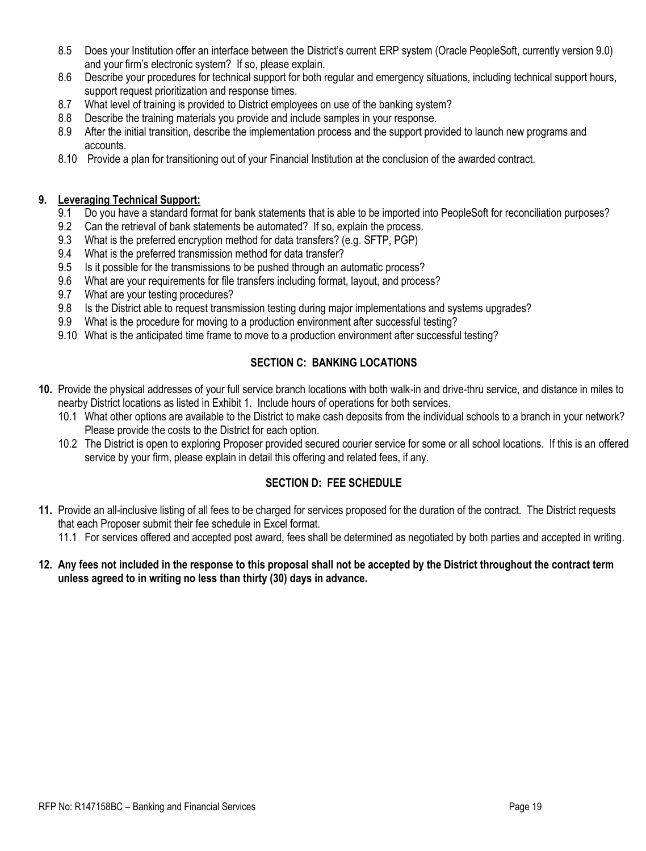- 8.5 Does your Institution offer an interface between the District's current ERP system (Oracle PeopleSoft, currently version 9.0) and your firm's electronic system? If so, please explain.
- 8.6 Describe your procedures for technical support for both regular and emergency situations, including technical support hours, support request prioritization and response times.
- 8.7 What level of training is provided to District employees on use of the banking system?
- 8.8 Describe the training materials you provide and include samples in your response.
- 8.9 After the initial transition, describe the implementation process and the support provided to launch new programs and accounts.
- 8.10 Provide a plan for transitioning out of your Financial Institution at the conclusion of the awarded contract.

### **9. Leveraging Technical Support:**

- 9.1 Do you have a standard format for bank statements that is able to be imported into PeopleSoft for reconciliation purposes?
- 9.2 Can the retrieval of bank statements be automated? If so, explain the process.
- 9.3 What is the preferred encryption method for data transfers? (e.g. SFTP, PGP)
- 9.4 What is the preferred transmission method for data transfer?
- 9.5 Is it possible for the transmissions to be pushed through an automatic process?
- 9.6 What are your requirements for file transfers including format, layout, and process?
- 9.7 What are your testing procedures?
- 9.8 Is the District able to request transmission testing during major implementations and systems upgrades?
- 9.9 What is the procedure for moving to a production environment after successful testing?
- 9.10 What is the anticipated time frame to move to a production environment after successful testing?

### **SECTION C: BANKING LOCATIONS**

- **10.** Provide the physical addresses of your full service branch locations with both walk-in and drive-thru service, and distance in miles to nearby District locations as listed in Exhibit 1. Include hours of operations for both services.
	- 10.1 What other options are available to the District to make cash deposits from the individual schools to a branch in your network? Please provide the costs to the District for each option.
	- 10.2 The District is open to exploring Proposer provided secured courier service for some or all school locations. If this is an offered service by your firm, please explain in detail this offering and related fees, if any.

### **SECTION D: FEE SCHEDULE**

- **11.** Provide an all-inclusive listing of all fees to be charged for services proposed for the duration of the contract. The District requests that each Proposer submit their fee schedule in Excel format.
	- 11.1 For services offered and accepted post award, fees shall be determined as negotiated by both parties and accepted in writing.
- **12. Any fees not included in the response to this proposal shall not be accepted by the District throughout the contract term unless agreed to in writing no less than thirty (30) days in advance.**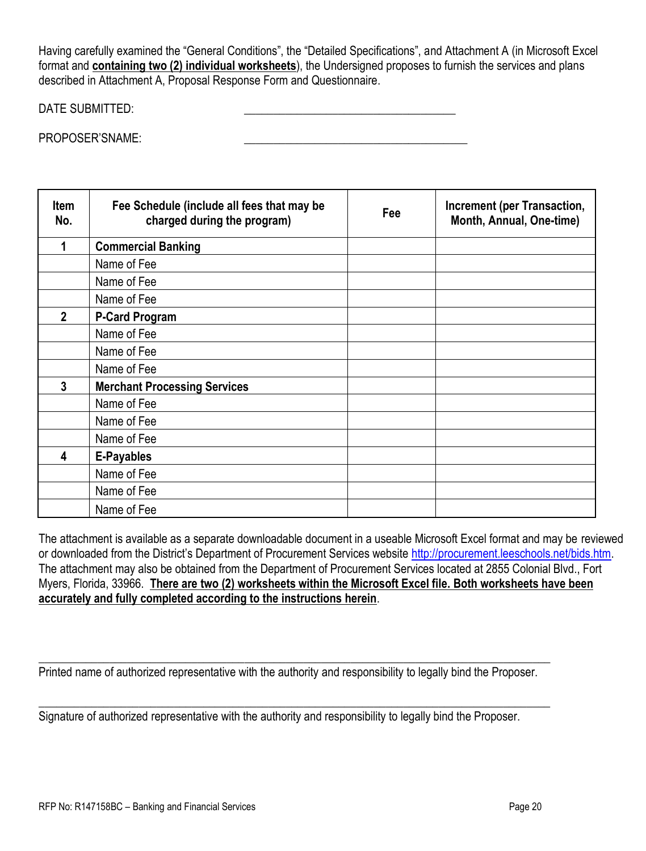Having carefully examined the "General Conditions", the "Detailed Specifications", and Attachment A (in Microsoft Excel format and **containing two (2) individual worksheets**), the Undersigned proposes to furnish the services and plans described in Attachment A, Proposal Response Form and Questionnaire.

DATE SUBMITTED:

PROPOSER'SNAME:

| <b>Item</b><br>No. | Fee Schedule (include all fees that may be<br>charged during the program) | Fee | <b>Increment (per Transaction,</b><br>Month, Annual, One-time) |
|--------------------|---------------------------------------------------------------------------|-----|----------------------------------------------------------------|
| 1                  | <b>Commercial Banking</b>                                                 |     |                                                                |
|                    | Name of Fee                                                               |     |                                                                |
|                    | Name of Fee                                                               |     |                                                                |
|                    | Name of Fee                                                               |     |                                                                |
| $\overline{2}$     | <b>P-Card Program</b>                                                     |     |                                                                |
|                    | Name of Fee                                                               |     |                                                                |
|                    | Name of Fee                                                               |     |                                                                |
|                    | Name of Fee                                                               |     |                                                                |
| 3                  | <b>Merchant Processing Services</b>                                       |     |                                                                |
|                    | Name of Fee                                                               |     |                                                                |
|                    | Name of Fee                                                               |     |                                                                |
|                    | Name of Fee                                                               |     |                                                                |
| 4                  | E-Payables                                                                |     |                                                                |
|                    | Name of Fee                                                               |     |                                                                |
|                    | Name of Fee                                                               |     |                                                                |
|                    | Name of Fee                                                               |     |                                                                |

The attachment is available as a separate downloadable document in a useable Microsoft Excel format and may be reviewed or downloaded from the District's Department of Procurement Services website [http://procurement.leeschools.net/bids.htm.](https://www.leeschools.net/procurement) The attachment may also be obtained from the Department of Procurement Services located at 2855 Colonial Blvd., Fort Myers, Florida, 33966. **There are two (2) worksheets within the Microsoft Excel file. Both worksheets have been accurately and fully completed according to the instructions herein**.

\_\_\_\_\_\_\_\_\_\_\_\_\_\_\_\_\_\_\_\_\_\_\_\_\_\_\_\_\_\_\_\_\_\_\_\_\_\_\_\_\_\_\_\_\_\_\_\_\_\_\_\_\_\_\_\_\_\_\_\_\_\_\_\_\_\_\_\_\_\_\_\_\_\_\_\_\_\_\_\_\_\_\_\_\_\_\_ Printed name of authorized representative with the authority and responsibility to legally bind the Proposer.

\_\_\_\_\_\_\_\_\_\_\_\_\_\_\_\_\_\_\_\_\_\_\_\_\_\_\_\_\_\_\_\_\_\_\_\_\_\_\_\_\_\_\_\_\_\_\_\_\_\_\_\_\_\_\_\_\_\_\_\_\_\_\_\_\_\_\_\_\_\_\_\_\_\_\_\_\_\_\_\_\_\_\_\_\_\_\_

Signature of authorized representative with the authority and responsibility to legally bind the Proposer.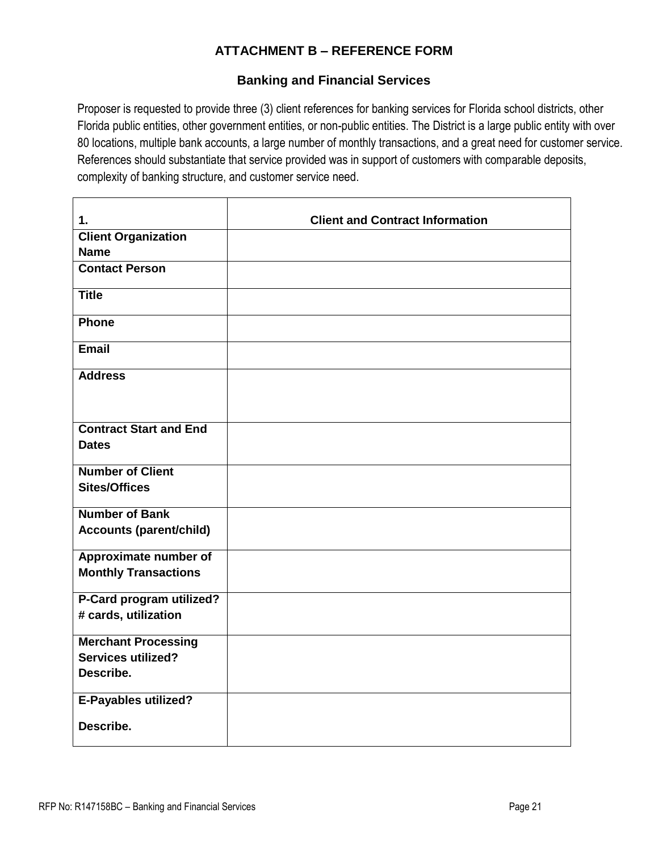### **ATTACHMENT B – REFERENCE FORM**

### **Banking and Financial Services**

Proposer is requested to provide three (3) client references for banking services for Florida school districts, other Florida public entities, other government entities, or non-public entities. The District is a large public entity with over 80 locations, multiple bank accounts, a large number of monthly transactions, and a great need for customer service. References should substantiate that service provided was in support of customers with comparable deposits, complexity of banking structure, and customer service need.

| 1.                             | <b>Client and Contract Information</b> |
|--------------------------------|----------------------------------------|
| <b>Client Organization</b>     |                                        |
| <b>Name</b>                    |                                        |
| <b>Contact Person</b>          |                                        |
| <b>Title</b>                   |                                        |
| Phone                          |                                        |
| <b>Email</b>                   |                                        |
| <b>Address</b>                 |                                        |
|                                |                                        |
| <b>Contract Start and End</b>  |                                        |
| <b>Dates</b>                   |                                        |
| <b>Number of Client</b>        |                                        |
| <b>Sites/Offices</b>           |                                        |
| <b>Number of Bank</b>          |                                        |
| <b>Accounts (parent/child)</b> |                                        |
| Approximate number of          |                                        |
| <b>Monthly Transactions</b>    |                                        |
| P-Card program utilized?       |                                        |
| # cards, utilization           |                                        |
| <b>Merchant Processing</b>     |                                        |
| <b>Services utilized?</b>      |                                        |
| Describe.                      |                                        |
| <b>E-Payables utilized?</b>    |                                        |
| Describe.                      |                                        |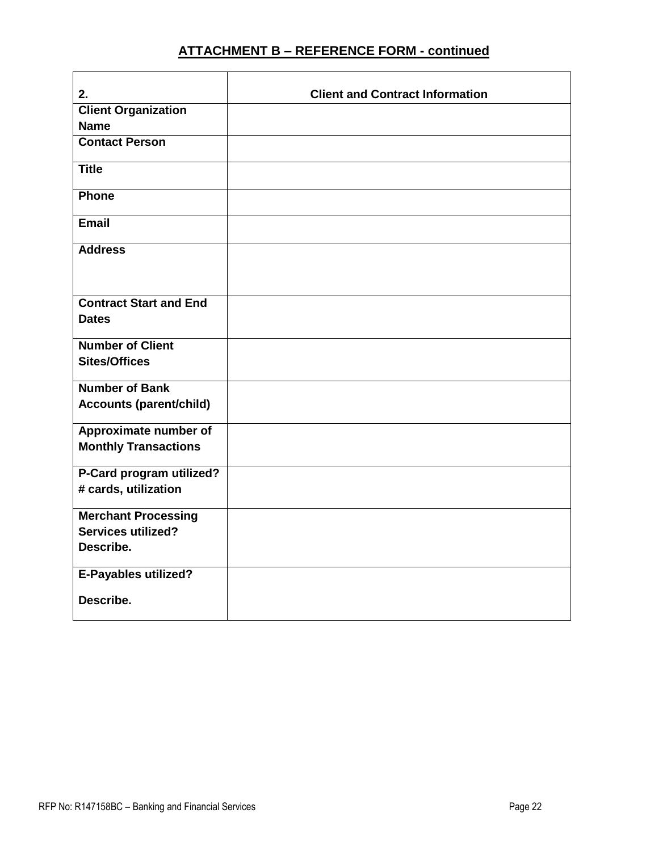# **ATTACHMENT B – REFERENCE FORM - continued**

| 2.                             | <b>Client and Contract Information</b> |
|--------------------------------|----------------------------------------|
| <b>Client Organization</b>     |                                        |
| <b>Name</b>                    |                                        |
| <b>Contact Person</b>          |                                        |
| <b>Title</b>                   |                                        |
| Phone                          |                                        |
| Email                          |                                        |
| <b>Address</b>                 |                                        |
|                                |                                        |
| <b>Contract Start and End</b>  |                                        |
| <b>Dates</b>                   |                                        |
| <b>Number of Client</b>        |                                        |
| <b>Sites/Offices</b>           |                                        |
| <b>Number of Bank</b>          |                                        |
| <b>Accounts (parent/child)</b> |                                        |
| Approximate number of          |                                        |
| <b>Monthly Transactions</b>    |                                        |
| P-Card program utilized?       |                                        |
| # cards, utilization           |                                        |
| <b>Merchant Processing</b>     |                                        |
| <b>Services utilized?</b>      |                                        |
| Describe.                      |                                        |
| <b>E-Payables utilized?</b>    |                                        |
| Describe.                      |                                        |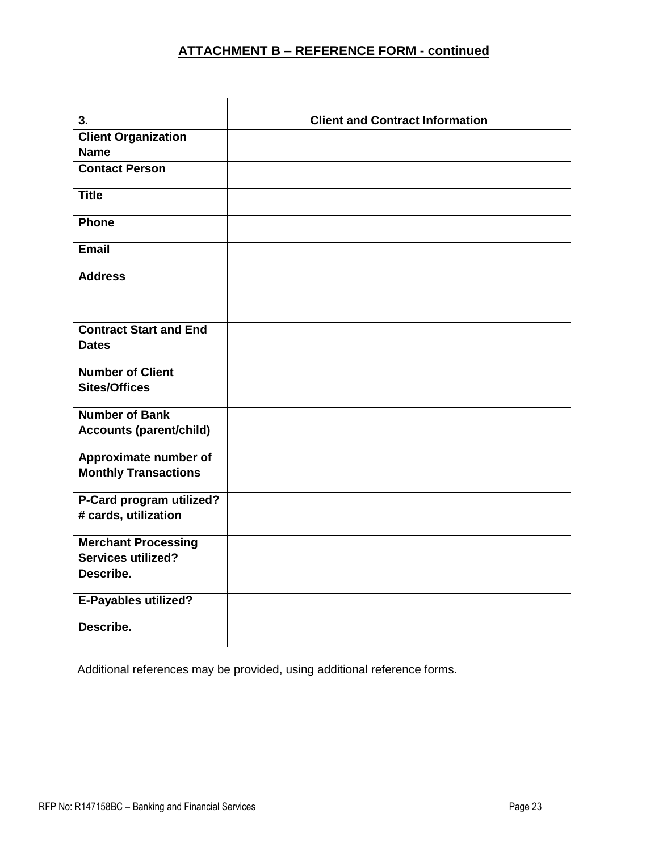### **ATTACHMENT B – REFERENCE FORM - continued**

| 3.                             | <b>Client and Contract Information</b> |
|--------------------------------|----------------------------------------|
| <b>Client Organization</b>     |                                        |
| <b>Name</b>                    |                                        |
| <b>Contact Person</b>          |                                        |
| <b>Title</b>                   |                                        |
| <b>Phone</b>                   |                                        |
| <b>Email</b>                   |                                        |
| <b>Address</b>                 |                                        |
| <b>Contract Start and End</b>  |                                        |
| <b>Dates</b>                   |                                        |
| <b>Number of Client</b>        |                                        |
| <b>Sites/Offices</b>           |                                        |
| <b>Number of Bank</b>          |                                        |
| <b>Accounts (parent/child)</b> |                                        |
| Approximate number of          |                                        |
| <b>Monthly Transactions</b>    |                                        |
| P-Card program utilized?       |                                        |
| # cards, utilization           |                                        |
| <b>Merchant Processing</b>     |                                        |
| <b>Services utilized?</b>      |                                        |
| Describe.                      |                                        |
| E-Payables utilized?           |                                        |
| Describe.                      |                                        |

Additional references may be provided, using additional reference forms.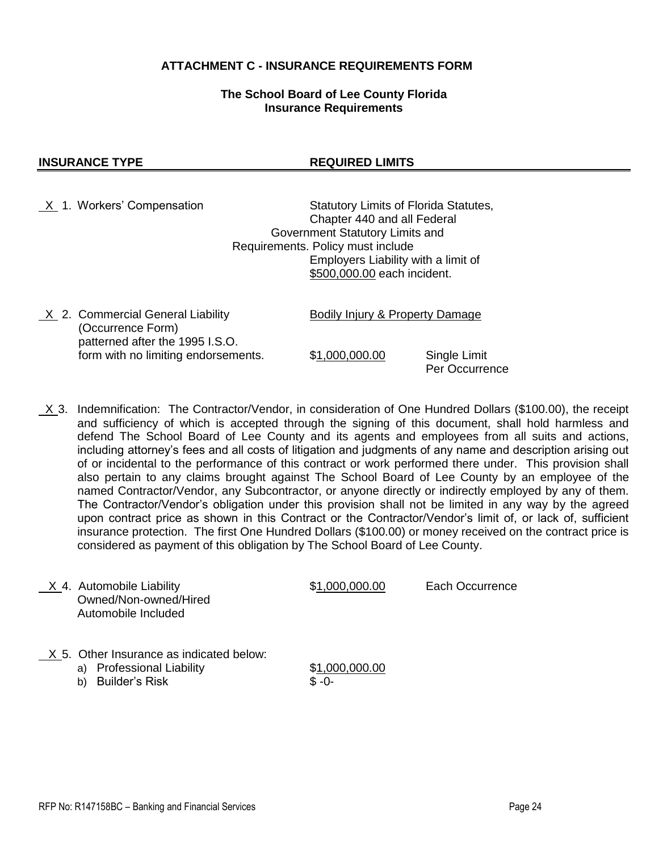### **ATTACHMENT C - INSURANCE REQUIREMENTS FORM**

### **The School Board of Lee County Florida Insurance Requirements**

### **INSURANCE TYPE REQUIRED LIMITS**

 $X$  1. Workers' Compensation Statutory Limits of Florida Statutes, Chapter 440 and all Federal Government Statutory Limits and Requirements. Policy must include Employers Liability with a limit of \$500,000.00 each incident.

X 2. Commercial General Liability Bodily Injury & Property Damage (Occurrence Form) patterned after the 1995 I.S.O. form with no limiting endorsements.  $$1,000,000.00$  Single Limit

Per Occurrence

 X 3. Indemnification: The Contractor/Vendor, in consideration of One Hundred Dollars (\$100.00), the receipt and sufficiency of which is accepted through the signing of this document, shall hold harmless and defend The School Board of Lee County and its agents and employees from all suits and actions, including attorney's fees and all costs of litigation and judgments of any name and description arising out of or incidental to the performance of this contract or work performed there under. This provision shall also pertain to any claims brought against The School Board of Lee County by an employee of the named Contractor/Vendor, any Subcontractor, or anyone directly or indirectly employed by any of them. The Contractor/Vendor's obligation under this provision shall not be limited in any way by the agreed upon contract price as shown in this Contract or the Contractor/Vendor's limit of, or lack of, sufficient insurance protection. The first One Hundred Dollars (\$100.00) or money received on the contract price is considered as payment of this obligation by The School Board of Lee County.

| X 4. Automobile Liability<br>Owned/Non-owned/Hired<br>Automobile Included                                | \$1,000,000.00            | Each Occurrence |  |
|----------------------------------------------------------------------------------------------------------|---------------------------|-----------------|--|
| X 5. Other Insurance as indicated below:<br><b>Professional Liability</b><br>a)<br><b>Builder's Risk</b> | \$1,000,000.00<br>$$ -0-$ |                 |  |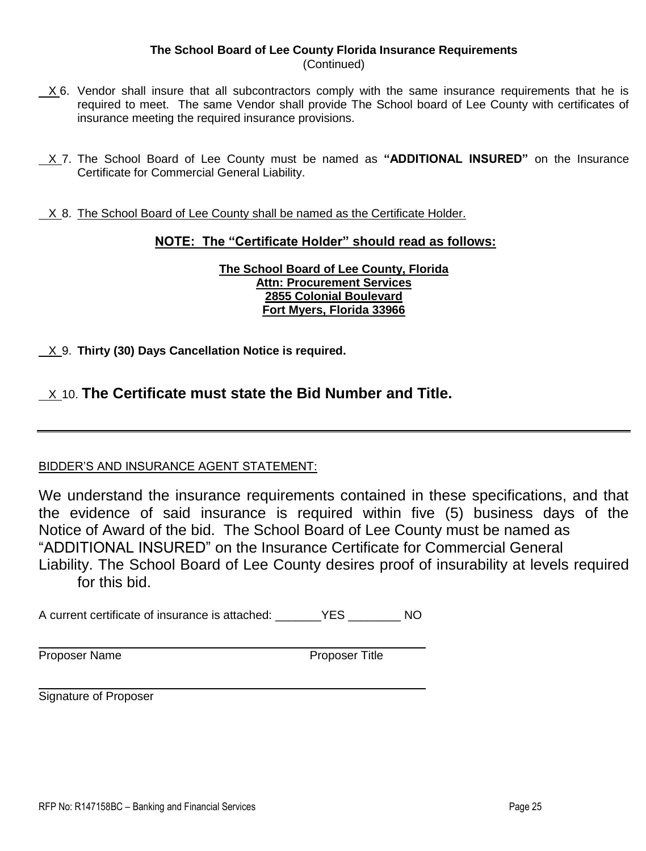#### **The School Board of Lee County Florida Insurance Requirements** (Continued)

- $X$ 6. Vendor shall insure that all subcontractors comply with the same insurance requirements that he is required to meet. The same Vendor shall provide The School board of Lee County with certificates of insurance meeting the required insurance provisions.
- X 7. The School Board of Lee County must be named as **"ADDITIONAL INSURED"** on the Insurance Certificate for Commercial General Liability.
- X 8. The School Board of Lee County shall be named as the Certificate Holder.

### **NOTE: The "Certificate Holder" should read as follows:**

**The School Board of Lee County, Florida Attn: Procurement Services 2855 Colonial Boulevard Fort Myers, Florida 33966**

### X 9. **Thirty (30) Days Cancellation Notice is required.**

### X 10. **The Certificate must state the Bid Number and Title.**

### BIDDER'S AND INSURANCE AGENT STATEMENT:

We understand the insurance requirements contained in these specifications, and that the evidence of said insurance is required within five (5) business days of the Notice of Award of the bid. The School Board of Lee County must be named as "ADDITIONAL INSURED" on the Insurance Certificate for Commercial General Liability. The School Board of Lee County desires proof of insurability at levels required for this bid.

A current certificate of insurance is attached: \_\_\_\_\_\_\_YES \_\_\_\_\_\_\_\_ NO

Proposer Name **Proposer Title** 

Signature of Proposer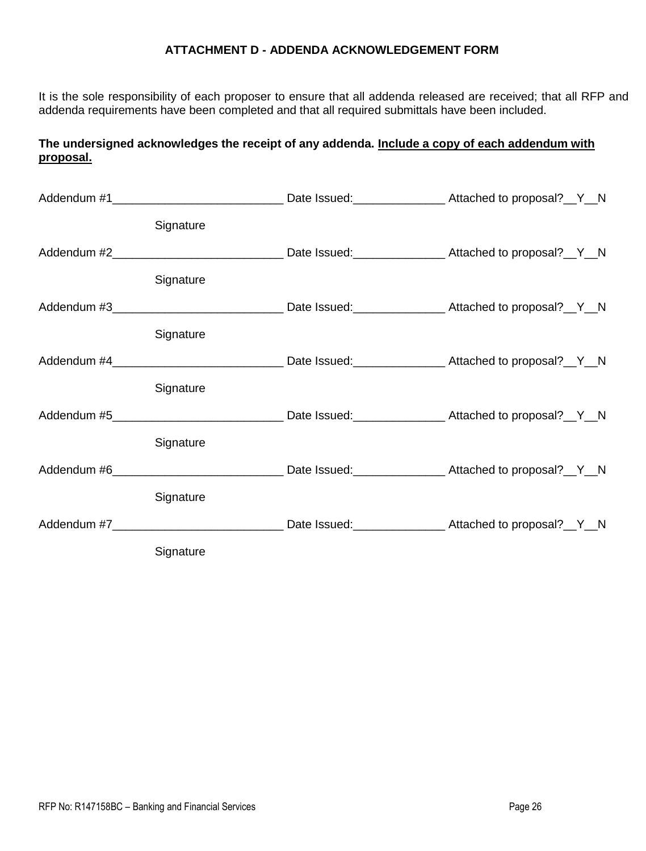### **ATTACHMENT D - ADDENDA ACKNOWLEDGEMENT FORM**

It is the sole responsibility of each proposer to ensure that all addenda released are received; that all RFP and addenda requirements have been completed and that all required submittals have been included.

### **The undersigned acknowledges the receipt of any addenda. Include a copy of each addendum with proposal.**

| Signature |  |
|-----------|--|
|           |  |
| Signature |  |
|           |  |
| Signature |  |
|           |  |
| Signature |  |
|           |  |
| Signature |  |
|           |  |
| Signature |  |
|           |  |
| Signature |  |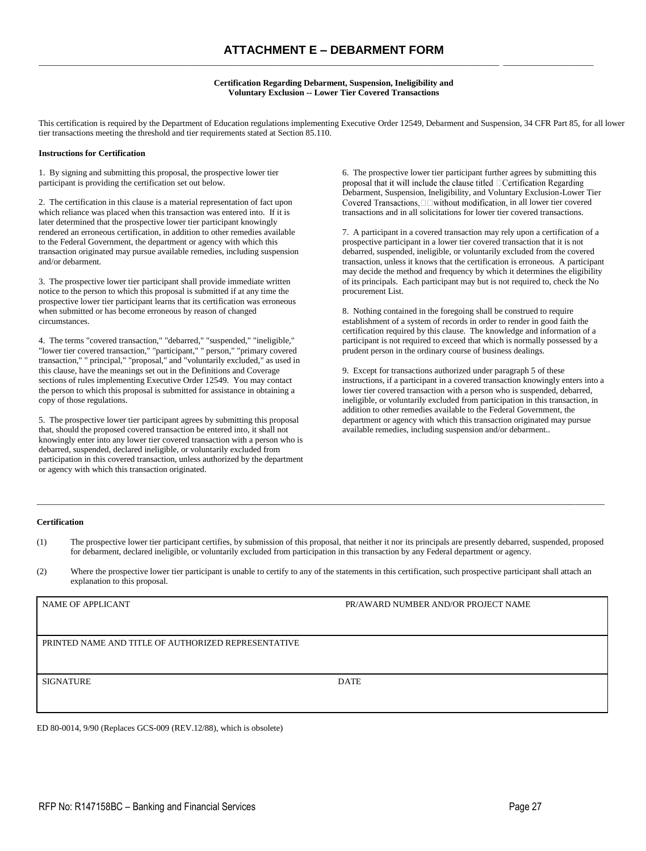\_\_\_\_\_\_\_\_\_\_\_\_\_\_\_\_\_\_\_\_\_\_\_\_\_\_\_\_\_\_\_\_\_\_\_\_\_\_\_\_\_\_\_\_\_\_\_\_\_\_\_\_\_\_\_\_\_\_\_\_\_\_\_\_\_\_\_\_\_\_\_\_\_\_\_\_\_\_\_\_\_\_\_\_\_\_\_\_\_\_\_\_\_\_\_\_\_\_\_\_\_\_\_\_\_\_\_ \_\_\_\_\_\_\_\_\_\_\_\_\_\_\_\_\_\_\_\_\_

#### **Certification Regarding Debarment, Suspension, Ineligibility and Voluntary Exclusion -- Lower Tier Covered Transactions**

This certification is required by the Department of Education regulations implementing Executive Order 12549, Debarment and Suspension, 34 CFR Part 85, for all lower tier transactions meeting the threshold and tier requirements stated at Section 85.110.

#### **Instructions for Certification**

1. By signing and submitting this proposal, the prospective lower tier participant is providing the certification set out below.

2. The certification in this clause is a material representation of fact upon which reliance was placed when this transaction was entered into. If it is later determined that the prospective lower tier participant knowingly rendered an erroneous certification, in addition to other remedies available to the Federal Government, the department or agency with which this transaction originated may pursue available remedies, including suspension and/or debarment.

3. The prospective lower tier participant shall provide immediate written notice to the person to which this proposal is submitted if at any time the prospective lower tier participant learns that its certification was erroneous when submitted or has become erroneous by reason of changed circumstances.

4. The terms "covered transaction," "debarred," "suspended," "ineligible," "lower tier covered transaction," "participant," " person," "primary covered transaction," " principal," "proposal," and "voluntarily excluded," as used in this clause, have the meanings set out in the Definitions and Coverage sections of rules implementing Executive Order 12549. You may contact the person to which this proposal is submitted for assistance in obtaining a copy of those regulations.

5. The prospective lower tier participant agrees by submitting this proposal that, should the proposed covered transaction be entered into, it shall not knowingly enter into any lower tier covered transaction with a person who is debarred, suspended, declared ineligible, or voluntarily excluded from participation in this covered transaction, unless authorized by the department or agency with which this transaction originated.

6. The prospective lower tier participant further agrees by submitting this proposal that it will include the clause titled  $\Box$ Certification Regarding Debarment, Suspension, Ineligibility, and Voluntary Exclusion-Lower Tier Covered Transactions,  $\square \square$  without modification, in all lower tier covered transactions and in all solicitations for lower tier covered transactions.

7. A participant in a covered transaction may rely upon a certification of a prospective participant in a lower tier covered transaction that it is not debarred, suspended, ineligible, or voluntarily excluded from the covered transaction, unless it knows that the certification is erroneous. A participant may decide the method and frequency by which it determines the eligibility of its principals. Each participant may but is not required to, check the No procurement List.

8. Nothing contained in the foregoing shall be construed to require establishment of a system of records in order to render in good faith the certification required by this clause. The knowledge and information of a participant is not required to exceed that which is normally possessed by a prudent person in the ordinary course of business dealings.

9. Except for transactions authorized under paragraph 5 of these instructions, if a participant in a covered transaction knowingly enters into a lower tier covered transaction with a person who is suspended, debarred, ineligible, or voluntarily excluded from participation in this transaction, in addition to other remedies available to the Federal Government, the department or agency with which this transaction originated may pursue available remedies, including suspension and/or debarment..

#### **Certification**

(1) The prospective lower tier participant certifies, by submission of this proposal, that neither it nor its principals are presently debarred, suspended, proposed for debarment, declared ineligible, or voluntarily excluded from participation in this transaction by any Federal department or agency.

\_\_\_\_\_\_\_\_\_\_\_\_\_\_\_\_\_\_\_\_\_\_\_\_\_\_\_\_\_\_\_\_\_\_\_\_\_\_\_\_\_\_\_\_\_\_\_\_\_\_\_\_\_\_\_\_\_\_\_\_\_\_\_\_\_\_\_\_\_\_\_\_\_\_\_\_\_\_\_\_\_\_\_\_\_\_\_\_\_\_\_\_\_\_\_\_\_\_\_\_\_\_\_\_\_\_\_\_\_\_\_\_\_\_\_\_\_\_\_\_\_\_\_\_\_\_\_\_\_\_\_\_

(2) Where the prospective lower tier participant is unable to certify to any of the statements in this certification, such prospective participant shall attach an explanation to this proposal.

 $\mathcal{L}_\text{max}$ 

NAME OF APPLICANT PR/AWARD NUMBER AND/OR PROJECT NAME

#### PRINTED NAME AND TITLE OF AUTHORIZED REPRESENTATIVE

SIGNATURE DATE

ED 80-0014, 9/90 (Replaces GCS-009 (REV.12/88), which is obsolete)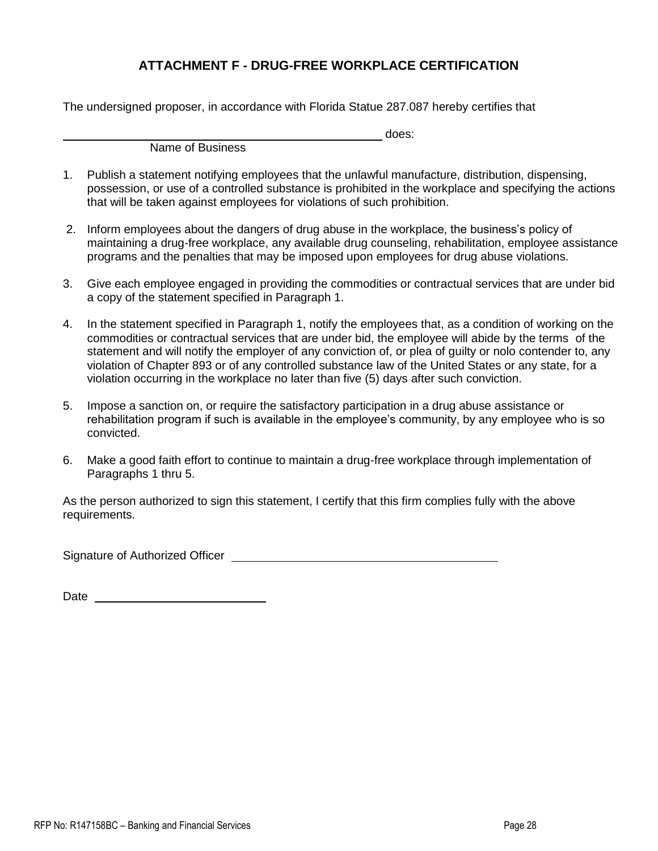### **ATTACHMENT F - DRUG-FREE WORKPLACE CERTIFICATION**

The undersigned proposer, in accordance with Florida Statue 287.087 hereby certifies that

does:

Name of Business

- 1. Publish a statement notifying employees that the unlawful manufacture, distribution, dispensing, possession, or use of a controlled substance is prohibited in the workplace and specifying the actions that will be taken against employees for violations of such prohibition.
- 2. Inform employees about the dangers of drug abuse in the workplace, the business's policy of maintaining a drug-free workplace, any available drug counseling, rehabilitation, employee assistance programs and the penalties that may be imposed upon employees for drug abuse violations.
- 3. Give each employee engaged in providing the commodities or contractual services that are under bid a copy of the statement specified in Paragraph 1.
- 4. In the statement specified in Paragraph 1, notify the employees that, as a condition of working on the commodities or contractual services that are under bid, the employee will abide by the terms of the statement and will notify the employer of any conviction of, or plea of guilty or nolo contender to, any violation of Chapter 893 or of any controlled substance law of the United States or any state, for a violation occurring in the workplace no later than five (5) days after such conviction.
- 5. Impose a sanction on, or require the satisfactory participation in a drug abuse assistance or rehabilitation program if such is available in the employee's community, by any employee who is so convicted.
- 6. Make a good faith effort to continue to maintain a drug-free workplace through implementation of Paragraphs 1 thru 5.

As the person authorized to sign this statement, I certify that this firm complies fully with the above requirements.

Signature of Authorized Officer

Date and the contract of the contract of the contract of the contract of the contract of the contract of the contract of the contract of the contract of the contract of the contract of the contract of the contract of the c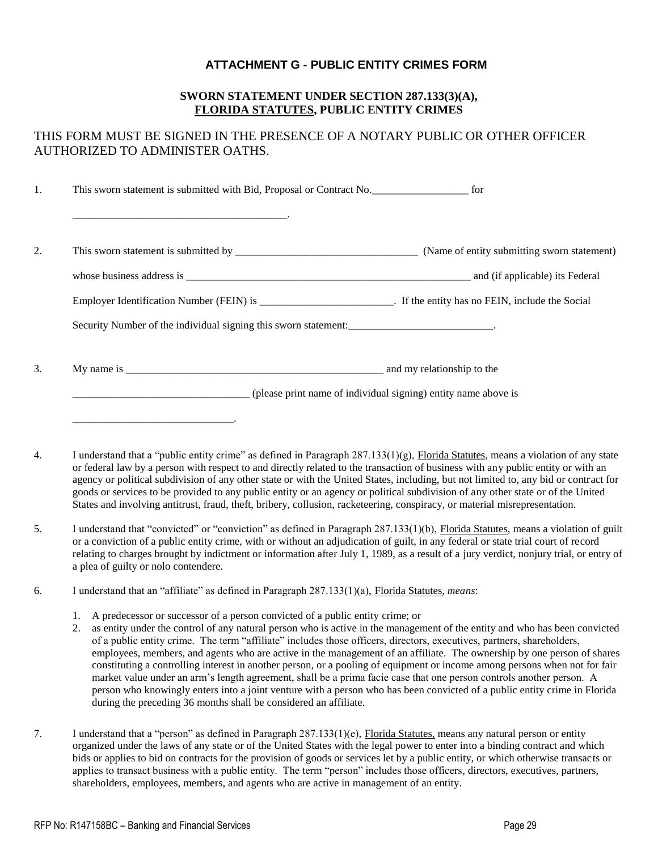### **ATTACHMENT G - PUBLIC ENTITY CRIMES FORM**

#### **SWORN STATEMENT UNDER SECTION 287.133(3)(A), FLORIDA STATUTES, PUBLIC ENTITY CRIMES**

### THIS FORM MUST BE SIGNED IN THE PRESENCE OF A NOTARY PUBLIC OR OTHER OFFICER AUTHORIZED TO ADMINISTER OATHS.

1. This sworn statement is submitted with Bid, Proposal or Contract No.\_\_\_\_\_\_\_\_\_\_\_\_\_\_\_\_\_\_ for \_\_\_\_\_\_\_\_\_\_\_\_\_\_\_\_\_\_\_\_\_\_\_\_\_\_\_\_\_\_\_\_\_\_\_\_\_\_\_\_. 2. This sworn statement is submitted by \_\_\_\_\_\_\_\_\_\_\_\_\_\_\_\_\_\_\_\_\_\_\_\_\_\_\_\_\_\_\_\_\_\_ (Name of entity submitting sworn statement) whose business address is \_\_\_\_\_\_\_\_\_\_\_\_\_\_\_\_\_\_\_\_\_\_\_\_\_\_\_\_\_\_\_\_\_\_\_\_\_\_\_\_\_\_\_\_\_\_\_\_\_\_\_\_\_ and (if applicable) its Federal Employer Identification Number (FEIN) is \_\_\_\_\_\_\_\_\_\_\_\_\_\_\_\_\_\_\_\_\_\_\_\_\_. If the entity has no FEIN, include the Social Security Number of the individual signing this sworn statement: 3. My name is \_\_\_\_\_\_\_\_\_\_\_\_\_\_\_\_\_\_\_\_\_\_\_\_\_\_\_\_\_\_\_\_\_\_\_\_\_\_\_\_\_\_\_\_\_\_\_\_ and my relationship to the \_\_\_\_\_\_\_\_\_\_\_\_\_\_\_\_\_\_\_\_\_\_\_\_\_\_\_\_\_\_\_\_\_ (please print name of individual signing) entity name above is

4. I understand that a "public entity crime" as defined in Paragraph 287.133(1)(g), Florida Statutes, means a violation of any state or federal law by a person with respect to and directly related to the transaction of business with any public entity or with an agency or political subdivision of any other state or with the United States, including, but not limited to, any bid or contract for goods or services to be provided to any public entity or an agency or political subdivision of any other state or of the United States and involving antitrust, fraud, theft, bribery, collusion, racketeering, conspiracy, or material misrepresentation.

- 5. I understand that "convicted" or "conviction" as defined in Paragraph 287.133(1)(b), Florida Statutes, means a violation of guilt or a conviction of a public entity crime, with or without an adjudication of guilt, in any federal or state trial court of record relating to charges brought by indictment or information after July 1, 1989, as a result of a jury verdict, nonjury trial, or entry of a plea of guilty or nolo contendere.
- 6. I understand that an "affiliate" as defined in Paragraph 287.133(1)(a), Florida Statutes, *means*:
	- 1. A predecessor or successor of a person convicted of a public entity crime; or
	- 2. as entity under the control of any natural person who is active in the management of the entity and who has been convicted of a public entity crime. The term "affiliate" includes those officers, directors, executives, partners, shareholders, employees, members, and agents who are active in the management of an affiliate. The ownership by one person of shares constituting a controlling interest in another person, or a pooling of equipment or income among persons when not for fair market value under an arm's length agreement, shall be a prima facie case that one person controls another person. A person who knowingly enters into a joint venture with a person who has been convicted of a public entity crime in Florida during the preceding 36 months shall be considered an affiliate.
- 7. I understand that a "person" as defined in Paragraph 287.133(1)(e), Florida Statutes, means any natural person or entity organized under the laws of any state or of the United States with the legal power to enter into a binding contract and which bids or applies to bid on contracts for the provision of goods or services let by a public entity, or which otherwise transacts or applies to transact business with a public entity. The term "person" includes those officers, directors, executives, partners, shareholders, employees, members, and agents who are active in management of an entity.

\_\_\_\_\_\_\_\_\_\_\_\_\_\_\_\_\_\_\_\_\_\_\_\_\_\_\_\_\_\_.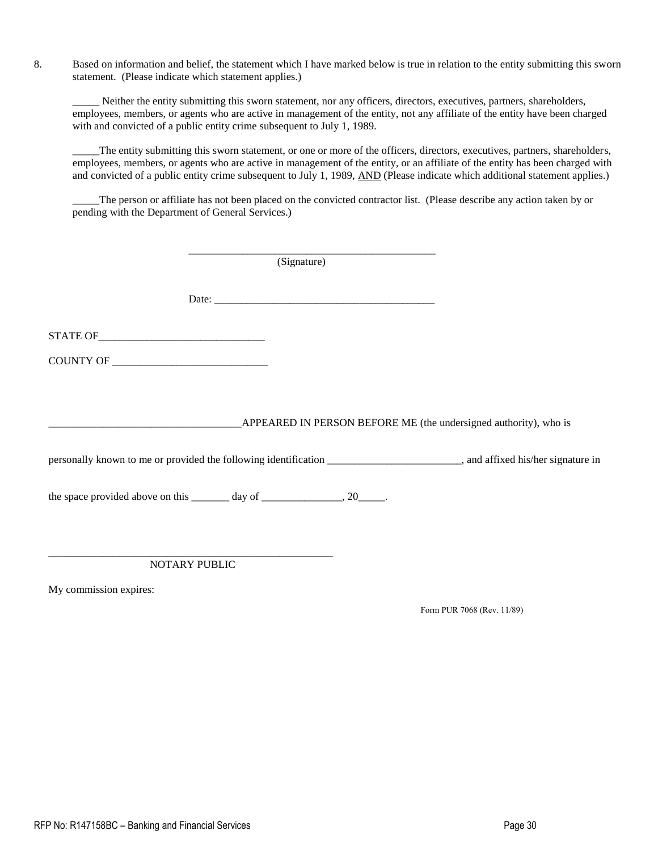8. Based on information and belief, the statement which I have marked below is true in relation to the entity submitting this sworn statement. (Please indicate which statement applies.)

Neither the entity submitting this sworn statement, nor any officers, directors, executives, partners, shareholders, employees, members, or agents who are active in management of the entity, not any affiliate of the entity have been charged with and convicted of a public entity crime subsequent to July 1, 1989.

\_\_\_\_\_The entity submitting this sworn statement, or one or more of the officers, directors, executives, partners, shareholders, employees, members, or agents who are active in management of the entity, or an affiliate of the entity has been charged with and convicted of a public entity crime subsequent to July 1, 1989, AND (Please indicate which additional statement applies.)

\_\_\_\_\_The person or affiliate has not been placed on the convicted contractor list. (Please describe any action taken by or pending with the Department of General Services.)

|                                                                                                                           |  | (Signature) |  |                                                                   |
|---------------------------------------------------------------------------------------------------------------------------|--|-------------|--|-------------------------------------------------------------------|
|                                                                                                                           |  |             |  |                                                                   |
|                                                                                                                           |  |             |  |                                                                   |
|                                                                                                                           |  |             |  |                                                                   |
|                                                                                                                           |  |             |  |                                                                   |
|                                                                                                                           |  |             |  | _APPEARED IN PERSON BEFORE ME (the undersigned authority), who is |
| personally known to me or provided the following identification _______________________, and affixed his/her signature in |  |             |  |                                                                   |
|                                                                                                                           |  |             |  |                                                                   |
|                                                                                                                           |  |             |  |                                                                   |

\_\_\_\_\_\_\_\_\_\_\_\_\_\_\_\_\_\_\_\_\_\_\_\_\_\_\_\_\_\_\_\_\_\_\_\_\_\_\_\_\_\_\_\_\_\_\_\_\_\_\_\_\_ NOTARY PUBLIC

My commission expires:

Form PUR 7068 (Rev. 11/89)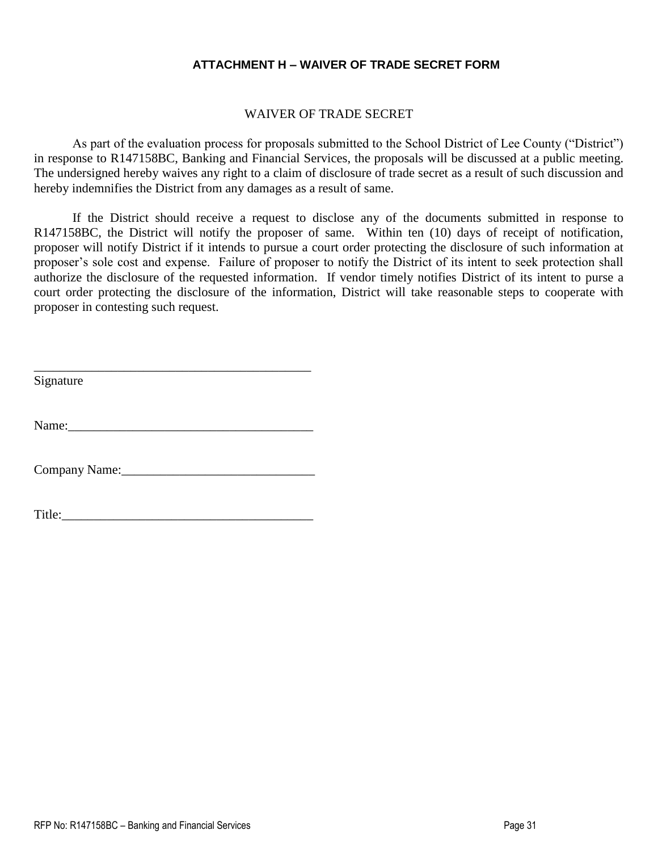### **ATTACHMENT H – WAIVER OF TRADE SECRET FORM**

### WAIVER OF TRADE SECRET

As part of the evaluation process for proposals submitted to the School District of Lee County ("District") in response to R147158BC, Banking and Financial Services, the proposals will be discussed at a public meeting. The undersigned hereby waives any right to a claim of disclosure of trade secret as a result of such discussion and hereby indemnifies the District from any damages as a result of same.

If the District should receive a request to disclose any of the documents submitted in response to R147158BC, the District will notify the proposer of same. Within ten (10) days of receipt of notification, proposer will notify District if it intends to pursue a court order protecting the disclosure of such information at proposer's sole cost and expense. Failure of proposer to notify the District of its intent to seek protection shall authorize the disclosure of the requested information. If vendor timely notifies District of its intent to purse a court order protecting the disclosure of the information, District will take reasonable steps to cooperate with proposer in contesting such request.

| Signature          |  |  |
|--------------------|--|--|
| Name:_____________ |  |  |
| Company Name:      |  |  |

\_\_\_\_\_\_\_\_\_\_\_\_\_\_\_\_\_\_\_\_\_\_\_\_\_\_\_\_\_\_\_\_\_\_\_\_\_\_\_\_\_\_\_

| m:41.<br>T INC. |  |  |
|-----------------|--|--|
|                 |  |  |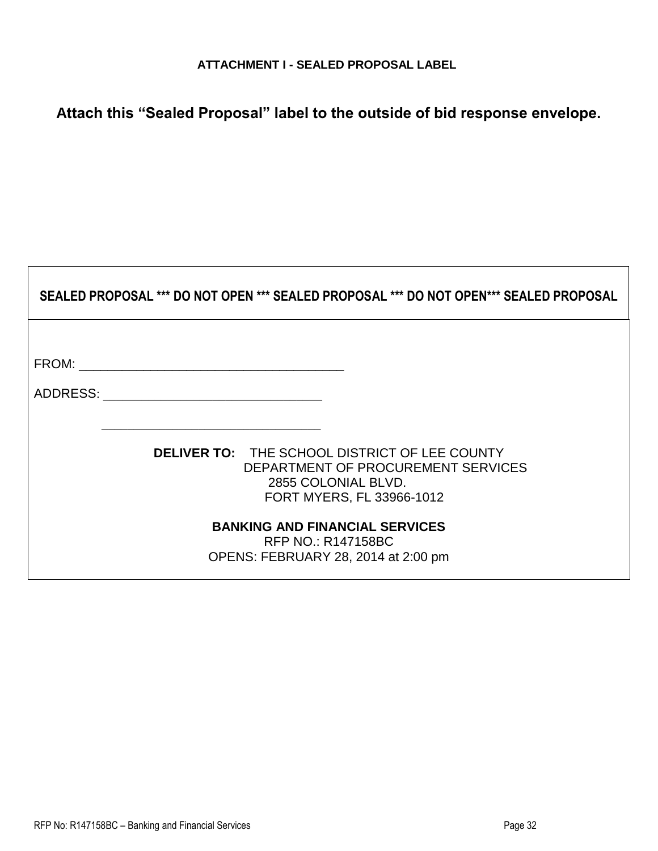**Attach this "Sealed Proposal" label to the outside of bid response envelope.**

| SEALED PROPOSAL *** DO NOT OPEN *** SEALED PROPOSAL *** DO NOT OPEN*** SEALED PROPOSAL |                                                                                                           |                                                                 |  |  |
|----------------------------------------------------------------------------------------|-----------------------------------------------------------------------------------------------------------|-----------------------------------------------------------------|--|--|
| ADDRESS:                                                                               |                                                                                                           |                                                                 |  |  |
|                                                                                        | <b>DELIVER TO: THE SCHOOL DISTRICT OF LEE COUNTY</b><br>2855 COLONIAL BLVD.                               | DEPARTMENT OF PROCUREMENT SERVICES<br>FORT MYERS, FL 33966-1012 |  |  |
|                                                                                        | <b>BANKING AND FINANCIAL SERVICES</b><br><b>RFP NO.: R147158BC</b><br>OPENS: FEBRUARY 28, 2014 at 2:00 pm |                                                                 |  |  |

 $\Gamma$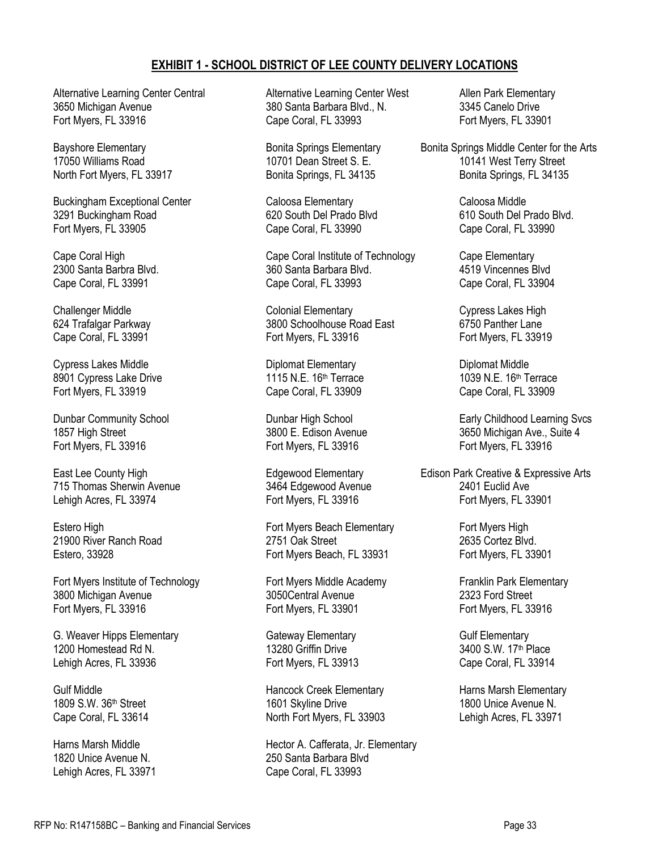### **EXHIBIT 1 - SCHOOL DISTRICT OF LEE COUNTY DELIVERY LOCATIONS**

Alternative Learning Center Central **Alternative Learning Center West** Allen Park Elementary 3650 Michigan Avenue 380 Santa Barbara Blvd., N. 3345 Canelo Drive Fort Myers, FL 33916 Cape Coral, FL 33993 Fort Myers, FL 33901

Buckingham Exceptional Center **Caloosa Elementary** Caloosa Caloosa Middle Caloosa Middle<br>3291 Buckingham Road Caloosa Caloosa Caloosa Elementary Caloosa Caloosa Middle 3291 Buckingham Road 620 South Del Prado Blvd 610 South Del Prado Blvd. Fort Myers, FL 33905 Cape Coral, FL 33990 Cape Coral, FL 33990

Cypress Lakes Middle **Diplomat Elementary Cypress Lakes Middle** Diplomat Middle 8901 Cypress Lake Drive 1115 N.E. 16<sup>th</sup> Terrace 1039 N.E. 16<sup>th</sup> Terrace Fort Myers, FL 33919 Cape Coral, FL 33909 Cape Coral, FL 33909 Cape Coral, FL 33909

Fort Myers, FL 33916 Fort Myers, FL 33916 Fort Myers, FL 33916

715 Thomas Sherwin Avenue 3464 Edgewood Avenue 2401 Euclid Ave

Fort Myers Institute of Technology **Fort Myers Middle Academy** Franklin Park Elementary 3800 Michigan Avenue 3050Central Avenue 2323 Ford Street Fort Myers, FL 33916 **Fort Myers, FL 33901** Fort Myers, FL 33916

G. Weaver Hipps Elementary **Gateway Elementary Gulf Elementary** Gulf Elementary 1200 Homestead Rd N. 13080 Griffin Drive 13280 Griffin Drive 3400 S.W. 17th Place Lehigh Acres, FL 33936 Fort Myers, FL 33913 Cape Coral, FL 33914

Lehigh Acres, FL 33971 Cape Coral, FL 33993

Cape Coral High Cape Coral Institute of Technology Cape Elementary 2300 Santa Barbra Blvd. 360 Santa Barbara Blvd. 4519 Vincennes Blvd Cape Coral, FL 33993 Cape Coral, FL 33904

Challenger Middle Colonial Elementary Cypress Lakes High 624 Trafalgar Parkway 3800 Schoolhouse Road East 6750 Panther Lane Cape Coral, FL 33991 Fort Myers, FL 33916 Fort Myers, FL 33919

Estero High Fort Myers Beach Elementary Fort Myers High 21900 River Ranch Road 2751 Oak Street 2635 Cortez Blvd. Estero, 33928 Fort Myers Beach, FL 33931 Fort Myers, FL 33901

Gulf Middle Gulf Middle **Hancock Creek Elementary** Flams Marsh Elementary **Harns Marsh Elementary** 1809 S.W. 36<sup>th</sup> Street N. 1601 Skyline Drive 1800 Unice Avenue N. Cape Coral, FL 33614 North Fort Myers, FL 33903 Lehigh Acres, FL 33971

Harns Marsh Middle **Hector A. Cafferata, Jr. Elementary** 1820 Unice Avenue N. 250 Santa Barbara Blvd

Bayshore Elementary **Bonita Springs Elementary** Bonita Springs Middle Center for the Arts 17050 Williams Road 10701 Dean Street S. E. 10141 West Terry Street North Fort Myers, FL 33917 Bonita Springs, FL 34135 Bonita Springs, FL 34135

Dunbar Community School **Dunbar High School** Early Childhood Learning Svcs<br>1857 High Street **Early Childhood Learning Svcs**<br>3800 E. Edison Avenue **1867 High School** 3650 Michigan Ave., Suite 4 1857 High Street **3800 E.** Edison Avenue 3650 Michigan Ave., Suite 4

East Lee County High **Edgewood Elementary** Edison Park Creative & Expressive Arts Lehigh Acres, FL 33974 Fort Myers, FL 33916 Fort Myers, FL 33901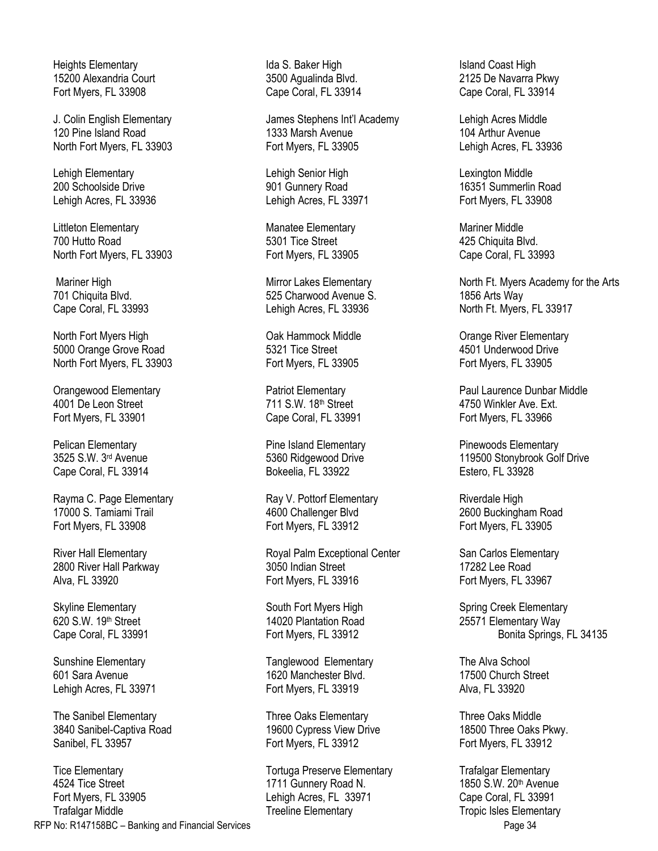Heights Elementary **Internal and Coast High Island Coast High Island Coast High** Island Coast High 15200 Alexandria Court 3500 Agualinda Blvd. 2125 De Navarra Pkwy Fort Myers, FL 33908 Cape Coral, FL 33914 Cape Coral, FL 33914

Lehigh Elementary Lehigh Senior High Lexington Middle

Littleton Elementary Manatee Elementary Mariner Middle 700 Hutto Road **5301 Tice Street** 6500 Hutto Road 625 Chiquita Blvd. North Fort Myers, FL 33903 Fort Myers, FL 33905 Cape Coral, FL 33993

North Fort Myers High **Canadian Community** Oak Hammock Middle **Canadian Community** Orange River Elementary 5000 Orange Grove Road 5321 Tice Street 4501 Underwood Drive North Fort Myers, FL 33903 Fort Myers, FL 33905 Fort Myers, FL 33905

4001 De Leon Street **1200 Contract 1200 Contract 1211 S.W.** 18<sup>th</sup> Street 4750 Winkler Ave. Ext. Fort Myers, FL 33901 Cape Coral, FL 33991 Fort Myers, FL 33966

Rayma C. Page Elementary **Ray V. Pottorf Elementary C. Programme Riverdale High** Riverdale High 17000 S. Tamiami Trail 4600 Challenger Blvd 2600 Buckingham Road Fort Myers, FL 33908 Fort Myers, FL 33912 Fort Myers, FL 33905

The Sanibel Elementary Three Oaks Elementary Three Oaks Middle 3840 Sanibel-Captiva Road 19600 Cypress View Drive 18500 Three Oaks Pkwy. Sanibel, FL 33957 Fort Myers, FL 33912 Fort Myers, FL 33912 Fort Myers, FL 33912

RFP No: R147158BC – Banking and Financial Services **Page 14** and the state of the state Page 34 Tice Elementary Tortuga Preserve Elementary Trafalgar Elementary 4524 Tice Street 1711 Gunnery Road N. 1850 S.W. 20<sup>th</sup> Avenue Fort Myers, FL 33905 Lehigh Acres, FL 33971 Cape Coral, FL 33991 Trafalgar Middle Trafalgar Middle Treeline Elementary Tropic Isles Elementary Trafalgar Middle

J. Colin English Elementary James Stephens Int'l Academy Lehigh Acres Middle 120 Pine Island Road 1333 Marsh Avenue 104 Arthur Avenue North Fort Myers, FL 33903 Fort Myers, FL 33905 Lehigh Acres, FL 33936

200 Schoolside Drive 901 Gunnery Road 16351 Summerlin Road Lehigh Acres, FL 33936 Lehigh Acres, FL 33971 Fort Myers, FL 33908

701 Chiquita Blvd. **625 Charwood Avenue S.** 1856 Arts Way

Cape Coral, FL 33914 Bokeelia, FL 33922 Estero, FL 33928

River Hall Elementary **Royal Palm Exceptional Center** San Carlos Elementary **Royal Palm Exceptional Center** San Carlos Elementary 2800 River Hall Parkway 3050 Indian Street 17282 Lee Road Alva, FL 33920 **Fort Myers, FL 33916** Fort Myers, FL 33967

Skyline Elementary **South Fort Myers High Spring Creek Elementary** Spring Creek Elementary

Sunshine Elementary **Tanglewood Elementary** The Alva School 601 Sara Avenue 1620 Manchester Blvd. 17500 Church Street Lehigh Acres, FL 33971 Fort Myers, FL 33919 Alva, FL 33920

Mariner High Mirror Lakes Elementary North Ft. Myers Academy for the Arts Cape Coral, FL 33993 Lehigh Acres, FL 33936 North Ft. Myers, FL 33917

Orangewood Elementary Patriot Elementary Paul Laurence Dunbar Middle

Pelican Elementary **Provide Allementary Pine Island Elementary Provide Allementary Pinewoods Elementary** 3525 S.W. 3rd Avenue 5360 Ridgewood Drive 119500 Stonybrook Golf Drive

620 S.W. 19<sup>th</sup> Street 14020 Plantation Road 25571 Elementary Way Cape Coral, FL 33991 **Fort Myers, FL 33912 Fort Disk Springs, FL 34135** Bonita Springs, FL 34135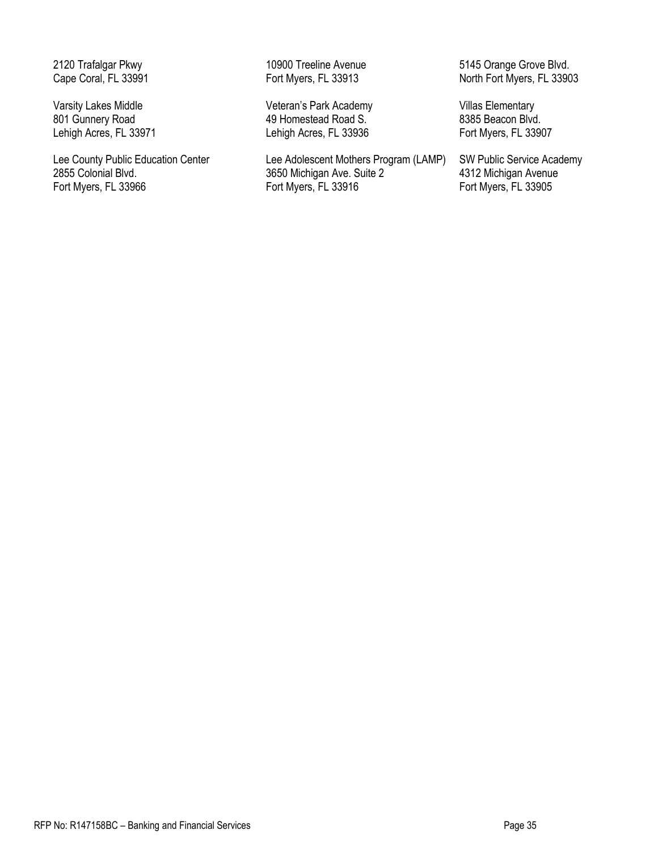Fort Myers, FL 33966 Fort Myers, FL 33916

Varsity Lakes Middle Veteran's Park Academy Villas Elementary 49 Homestead Road S. 8385 Beacon Blvd. Lehigh Acres, FL 33971 Lehigh Acres, FL 33936 Fort Myers, FL 33907

Lee County Public Education Center Lee Adolescent Mothers Program (LAMP) SW Public Service Academy<br>2855 Colonial Blvd. 2008 3650 Michigan Ave. Suite 2 4312 Michigan Avenue 2850 Michigan Ave. Suite 2 4312 Michigan Avenue<br>
Fort Myers, FL 33916 6 Fort Myers, FL 33905

2120 Trafalgar Pkwy 10900 Treeline Avenue 5145 Orange Grove Blvd.<br>Cape Coral, FL 33991 **Fort Myers, FL 33913** North Fort Myers, FL 3390 North Fort Myers, FL 33903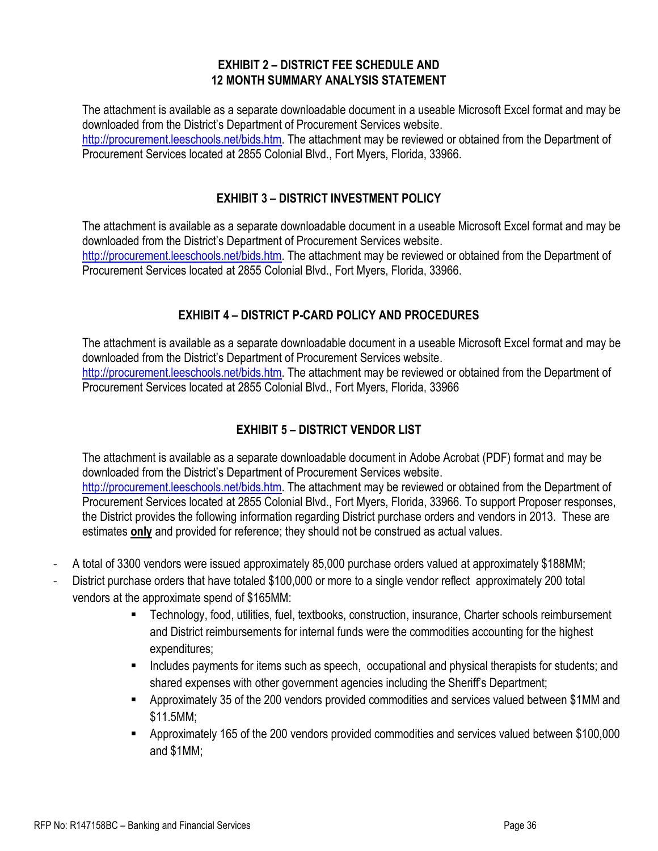### **EXHIBIT 2 – DISTRICT FEE SCHEDULE AND 12 MONTH SUMMARY ANALYSIS STATEMENT**

The attachment is available as a separate downloadable document in a useable Microsoft Excel format and may be downloaded from the District's Department of Procurement Services website. [http://procurement.leeschools.net/bids.htm.](https://www.leeschools.net/procurement) The attachment may be reviewed or obtained from the Department of Procurement Services located at 2855 Colonial Blvd., Fort Myers, Florida, 33966.

### **EXHIBIT 3 – DISTRICT INVESTMENT POLICY**

The attachment is available as a separate downloadable document in a useable Microsoft Excel format and may be downloaded from the District's Department of Procurement Services website. [http://procurement.leeschools.net/bids.htm.](https://www.leeschools.net/procurement) The attachment may be reviewed or obtained from the Department of Procurement Services located at 2855 Colonial Blvd., Fort Myers, Florida, 33966.

### **EXHIBIT 4 – DISTRICT P-CARD POLICY AND PROCEDURES**

The attachment is available as a separate downloadable document in a useable Microsoft Excel format and may be downloaded from the District's Department of Procurement Services website. [http://procurement.leeschools.net/bids.htm.](https://www.leeschools.net/procurement) The attachment may be reviewed or obtained from the Department of Procurement Services located at 2855 Colonial Blvd., Fort Myers, Florida, 33966

## **EXHIBIT 5 – DISTRICT VENDOR LIST**

The attachment is available as a separate downloadable document in Adobe Acrobat (PDF) format and may be downloaded from the District's Department of Procurement Services website. [http://procurement.leeschools.net/bids.htm.](https://www.leeschools.net/procurement) The attachment may be reviewed or obtained from the Department of Procurement Services located at 2855 Colonial Blvd., Fort Myers, Florida, 33966. To support Proposer responses, the District provides the following information regarding District purchase orders and vendors in 2013. These are estimates **only** and provided for reference; they should not be construed as actual values.

- A total of 3300 vendors were issued approximately 85,000 purchase orders valued at approximately \$188MM;
- District purchase orders that have totaled \$100,000 or more to a single vendor reflect approximately 200 total vendors at the approximate spend of \$165MM:
	- **Technology, food, utilities, fuel, textbooks, construction, insurance, Charter schools reimbursement** and District reimbursements for internal funds were the commodities accounting for the highest expenditures;
	- Includes payments for items such as speech, occupational and physical therapists for students; and shared expenses with other government agencies including the Sheriff's Department;
	- Approximately 35 of the 200 vendors provided commodities and services valued between \$1MM and \$11.5MM;
	- Approximately 165 of the 200 vendors provided commodities and services valued between \$100,000 and \$1MM;